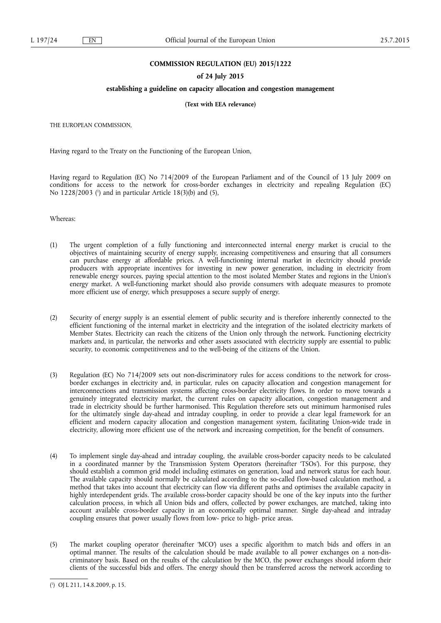## **COMMISSION REGULATION (EU) 2015/1222**

## **of 24 July 2015**

## **establishing a guideline on capacity allocation and congestion management**

**(Text with EEA relevance)** 

THE EUROPEAN COMMISSION,

Having regard to the Treaty on the Functioning of the European Union,

Having regard to Regulation (EC) No 714/2009 of the European Parliament and of the Council of 13 July 2009 on conditions for access to the network for cross-border exchanges in electricity and repealing Regulation (EC) No 1228/2003 ( 1 ) and in particular Article 18(3)(b) and (5),

Whereas:

- (1) The urgent completion of a fully functioning and interconnected internal energy market is crucial to the objectives of maintaining security of energy supply, increasing competitiveness and ensuring that all consumers can purchase energy at affordable prices. A well-functioning internal market in electricity should provide producers with appropriate incentives for investing in new power generation, including in electricity from renewable energy sources, paying special attention to the most isolated Member States and regions in the Union's energy market. A well-functioning market should also provide consumers with adequate measures to promote more efficient use of energy, which presupposes a secure supply of energy.
- (2) Security of energy supply is an essential element of public security and is therefore inherently connected to the efficient functioning of the internal market in electricity and the integration of the isolated electricity markets of Member States. Electricity can reach the citizens of the Union only through the network. Functioning electricity markets and, in particular, the networks and other assets associated with electricity supply are essential to public security, to economic competitiveness and to the well-being of the citizens of the Union.
- (3) Regulation (EC) No 714/2009 sets out non-discriminatory rules for access conditions to the network for crossborder exchanges in electricity and, in particular, rules on capacity allocation and congestion management for interconnections and transmission systems affecting cross-border electricity flows. In order to move towards a genuinely integrated electricity market, the current rules on capacity allocation, congestion management and trade in electricity should be further harmonised. This Regulation therefore sets out minimum harmonised rules for the ultimately single day-ahead and intraday coupling, in order to provide a clear legal framework for an efficient and modern capacity allocation and congestion management system, facilitating Union-wide trade in electricity, allowing more efficient use of the network and increasing competition, for the benefit of consumers.
- (4) To implement single day-ahead and intraday coupling, the available cross-border capacity needs to be calculated in a coordinated manner by the Transmission System Operators (hereinafter 'TSOs'). For this purpose, they should establish a common grid model including estimates on generation, load and network status for each hour. The available capacity should normally be calculated according to the so-called flow-based calculation method, a method that takes into account that electricity can flow via different paths and optimises the available capacity in highly interdependent grids. The available cross-border capacity should be one of the key inputs into the further calculation process, in which all Union bids and offers, collected by power exchanges, are matched, taking into account available cross-border capacity in an economically optimal manner. Single day-ahead and intraday coupling ensures that power usually flows from low- price to high- price areas.
- (5) The market coupling operator (hereinafter 'MCO') uses a specific algorithm to match bids and offers in an optimal manner. The results of the calculation should be made available to all power exchanges on a non-discriminatory basis. Based on the results of the calculation by the MCO, the power exchanges should inform their clients of the successful bids and offers. The energy should then be transferred across the network according to

<sup>(</sup> 1 ) OJ L 211, 14.8.2009, p. 15.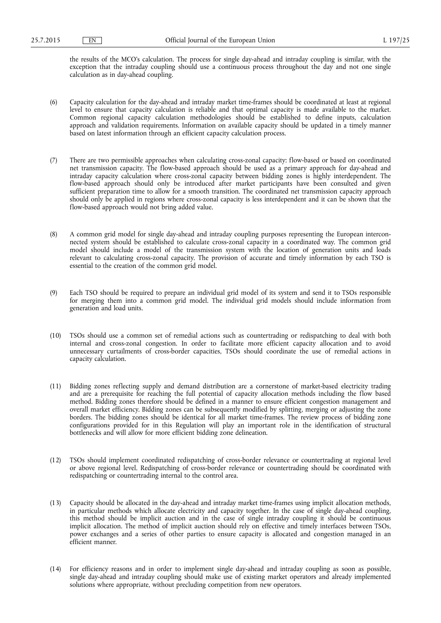the results of the MCO's calculation. The process for single day-ahead and intraday coupling is similar, with the exception that the intraday coupling should use a continuous process throughout the day and not one single calculation as in day-ahead coupling.

- (6) Capacity calculation for the day-ahead and intraday market time-frames should be coordinated at least at regional level to ensure that capacity calculation is reliable and that optimal capacity is made available to the market. Common regional capacity calculation methodologies should be established to define inputs, calculation approach and validation requirements. Information on available capacity should be updated in a timely manner based on latest information through an efficient capacity calculation process.
- (7) There are two permissible approaches when calculating cross-zonal capacity: flow-based or based on coordinated net transmission capacity. The flow-based approach should be used as a primary approach for day-ahead and intraday capacity calculation where cross-zonal capacity between bidding zones is highly interdependent. The flow-based approach should only be introduced after market participants have been consulted and given sufficient preparation time to allow for a smooth transition. The coordinated net transmission capacity approach should only be applied in regions where cross-zonal capacity is less interdependent and it can be shown that the flow-based approach would not bring added value.
- (8) A common grid model for single day-ahead and intraday coupling purposes representing the European interconnected system should be established to calculate cross-zonal capacity in a coordinated way. The common grid model should include a model of the transmission system with the location of generation units and loads relevant to calculating cross-zonal capacity. The provision of accurate and timely information by each TSO is essential to the creation of the common grid model.
- (9) Each TSO should be required to prepare an individual grid model of its system and send it to TSOs responsible for merging them into a common grid model. The individual grid models should include information from generation and load units.
- (10) TSOs should use a common set of remedial actions such as countertrading or redispatching to deal with both internal and cross-zonal congestion. In order to facilitate more efficient capacity allocation and to avoid unnecessary curtailments of cross-border capacities, TSOs should coordinate the use of remedial actions in capacity calculation.
- (11) Bidding zones reflecting supply and demand distribution are a cornerstone of market-based electricity trading and are a prerequisite for reaching the full potential of capacity allocation methods including the flow based method. Bidding zones therefore should be defined in a manner to ensure efficient congestion management and overall market efficiency. Bidding zones can be subsequently modified by splitting, merging or adjusting the zone borders. The bidding zones should be identical for all market time-frames. The review process of bidding zone configurations provided for in this Regulation will play an important role in the identification of structural bottlenecks and will allow for more efficient bidding zone delineation.
- (12) TSOs should implement coordinated redispatching of cross-border relevance or countertrading at regional level or above regional level. Redispatching of cross-border relevance or countertrading should be coordinated with redispatching or countertrading internal to the control area.
- (13) Capacity should be allocated in the day-ahead and intraday market time-frames using implicit allocation methods, in particular methods which allocate electricity and capacity together. In the case of single day-ahead coupling, this method should be implicit auction and in the case of single intraday coupling it should be continuous implicit allocation. The method of implicit auction should rely on effective and timely interfaces between TSOs, power exchanges and a series of other parties to ensure capacity is allocated and congestion managed in an efficient manner.
- (14) For efficiency reasons and in order to implement single day-ahead and intraday coupling as soon as possible, single day-ahead and intraday coupling should make use of existing market operators and already implemented solutions where appropriate, without precluding competition from new operators.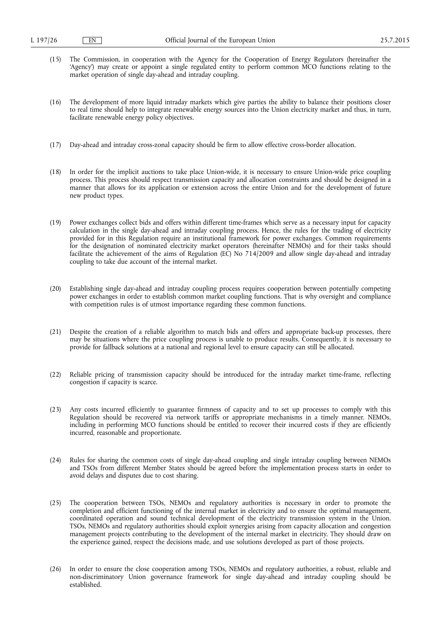- (15) The Commission, in cooperation with the Agency for the Cooperation of Energy Regulators (hereinafter the 'Agency') may create or appoint a single regulated entity to perform common MCO functions relating to the market operation of single day-ahead and intraday coupling.
- (16) The development of more liquid intraday markets which give parties the ability to balance their positions closer to real time should help to integrate renewable energy sources into the Union electricity market and thus, in turn, facilitate renewable energy policy objectives.
- (17) Day-ahead and intraday cross-zonal capacity should be firm to allow effective cross-border allocation.
- (18) In order for the implicit auctions to take place Union-wide, it is necessary to ensure Union-wide price coupling process. This process should respect transmission capacity and allocation constraints and should be designed in a manner that allows for its application or extension across the entire Union and for the development of future new product types.
- (19) Power exchanges collect bids and offers within different time-frames which serve as a necessary input for capacity calculation in the single day-ahead and intraday coupling process. Hence, the rules for the trading of electricity provided for in this Regulation require an institutional framework for power exchanges. Common requirements for the designation of nominated electricity market operators (hereinafter NEMOs) and for their tasks should facilitate the achievement of the aims of Regulation (EC) No 714/2009 and allow single day-ahead and intraday coupling to take due account of the internal market.
- (20) Establishing single day-ahead and intraday coupling process requires cooperation between potentially competing power exchanges in order to establish common market coupling functions. That is why oversight and compliance with competition rules is of utmost importance regarding these common functions.
- (21) Despite the creation of a reliable algorithm to match bids and offers and appropriate back-up processes, there may be situations where the price coupling process is unable to produce results. Consequently, it is necessary to provide for fallback solutions at a national and regional level to ensure capacity can still be allocated.
- (22) Reliable pricing of transmission capacity should be introduced for the intraday market time-frame, reflecting congestion if capacity is scarce.
- (23) Any costs incurred efficiently to guarantee firmness of capacity and to set up processes to comply with this Regulation should be recovered via network tariffs or appropriate mechanisms in a timely manner. NEMOs, including in performing MCO functions should be entitled to recover their incurred costs if they are efficiently incurred, reasonable and proportionate.
- (24) Rules for sharing the common costs of single day-ahead coupling and single intraday coupling between NEMOs and TSOs from different Member States should be agreed before the implementation process starts in order to avoid delays and disputes due to cost sharing.
- (25) The cooperation between TSOs, NEMOs and regulatory authorities is necessary in order to promote the completion and efficient functioning of the internal market in electricity and to ensure the optimal management, coordinated operation and sound technical development of the electricity transmission system in the Union. TSOs, NEMOs and regulatory authorities should exploit synergies arising from capacity allocation and congestion management projects contributing to the development of the internal market in electricity. They should draw on the experience gained, respect the decisions made, and use solutions developed as part of those projects.
- (26) In order to ensure the close cooperation among TSOs, NEMOs and regulatory authorities, a robust, reliable and non-discriminatory Union governance framework for single day-ahead and intraday coupling should be established.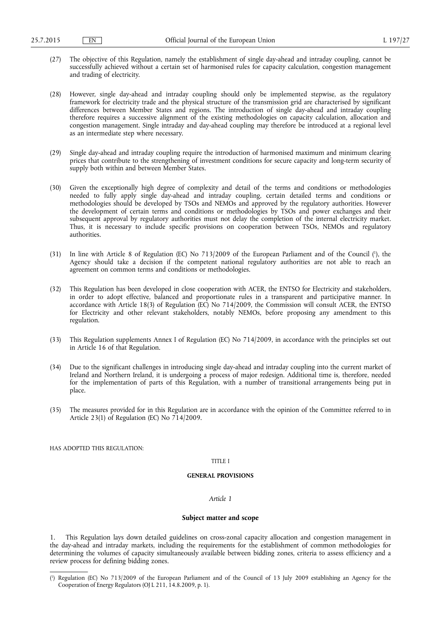- (27) The objective of this Regulation, namely the establishment of single day-ahead and intraday coupling, cannot be successfully achieved without a certain set of harmonised rules for capacity calculation, congestion management and trading of electricity.
- (28) However, single day-ahead and intraday coupling should only be implemented stepwise, as the regulatory framework for electricity trade and the physical structure of the transmission grid are characterised by significant differences between Member States and regions. The introduction of single day-ahead and intraday coupling therefore requires a successive alignment of the existing methodologies on capacity calculation, allocation and congestion management. Single intraday and day-ahead coupling may therefore be introduced at a regional level as an intermediate step where necessary.
- (29) Single day-ahead and intraday coupling require the introduction of harmonised maximum and minimum clearing prices that contribute to the strengthening of investment conditions for secure capacity and long-term security of supply both within and between Member States.
- (30) Given the exceptionally high degree of complexity and detail of the terms and conditions or methodologies needed to fully apply single day-ahead and intraday coupling, certain detailed terms and conditions or methodologies should be developed by TSOs and NEMOs and approved by the regulatory authorities. However the development of certain terms and conditions or methodologies by TSOs and power exchanges and their subsequent approval by regulatory authorities must not delay the completion of the internal electricity market. Thus, it is necessary to include specific provisions on cooperation between TSOs, NEMOs and regulatory authorities.
- (31) In line with Article 8 of Regulation (EC) No 713/2009 of the European Parliament and of the Council (<sup>1</sup>), the Agency should take a decision if the competent national regulatory authorities are not able to reach an agreement on common terms and conditions or methodologies.
- (32) This Regulation has been developed in close cooperation with ACER, the ENTSO for Electricity and stakeholders, in order to adopt effective, balanced and proportionate rules in a transparent and participative manner. In accordance with Article 18(3) of Regulation (EC) No 714/2009, the Commission will consult ACER, the ENTSO for Electricity and other relevant stakeholders, notably NEMOs, before proposing any amendment to this regulation.
- (33) This Regulation supplements Annex I of Regulation (EC) No 714/2009, in accordance with the principles set out in Article 16 of that Regulation.
- (34) Due to the significant challenges in introducing single day-ahead and intraday coupling into the current market of Ireland and Northern Ireland, it is undergoing a process of major redesign. Additional time is, therefore, needed for the implementation of parts of this Regulation, with a number of transitional arrangements being put in place.
- (35) The measures provided for in this Regulation are in accordance with the opinion of the Committee referred to in Article 23(1) of Regulation (EC) No 714/2009.

HAS ADOPTED THIS REGULATION:

# TITLE I

## **GENERAL PROVISIONS**

# *Article 1*

## **Subject matter and scope**

1. This Regulation lays down detailed guidelines on cross-zonal capacity allocation and congestion management in the day-ahead and intraday markets, including the requirements for the establishment of common methodologies for determining the volumes of capacity simultaneously available between bidding zones, criteria to assess efficiency and a review process for defining bidding zones.

<sup>(</sup> 1 ) Regulation (EC) No 713/2009 of the European Parliament and of the Council of 13 July 2009 establishing an Agency for the Cooperation of Energy Regulators (OJ L 211, 14.8.2009, p. 1).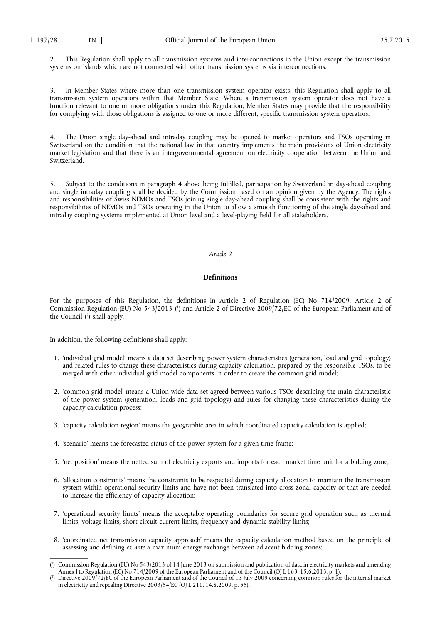2. This Regulation shall apply to all transmission systems and interconnections in the Union except the transmission systems on islands which are not connected with other transmission systems via interconnections.

3. In Member States where more than one transmission system operator exists, this Regulation shall apply to all transmission system operators within that Member State. Where a transmission system operator does not have a function relevant to one or more obligations under this Regulation, Member States may provide that the responsibility for complying with those obligations is assigned to one or more different, specific transmission system operators.

4. The Union single day-ahead and intraday coupling may be opened to market operators and TSOs operating in Switzerland on the condition that the national law in that country implements the main provisions of Union electricity market legislation and that there is an intergovernmental agreement on electricity cooperation between the Union and Switzerland.

5. Subject to the conditions in paragraph 4 above being fulfilled, participation by Switzerland in day-ahead coupling and single intraday coupling shall be decided by the Commission based on an opinion given by the Agency. The rights and responsibilities of Swiss NEMOs and TSOs joining single day-ahead coupling shall be consistent with the rights and responsibilities of NEMOs and TSOs operating in the Union to allow a smooth functioning of the single day-ahead and intraday coupling systems implemented at Union level and a level-playing field for all stakeholders.

## *Article 2*

## **Definitions**

For the purposes of this Regulation, the definitions in Article 2 of Regulation (EC) No 714/2009, Article 2 of Commission Regulation (EU) No 543/2013 (<sup>1</sup>) and Article 2 of Directive 2009/72/EC of the European Parliament and of the Council ( 2 ) shall apply.

In addition, the following definitions shall apply:

- 1. 'individual grid model' means a data set describing power system characteristics (generation, load and grid topology) and related rules to change these characteristics during capacity calculation, prepared by the responsible TSOs, to be merged with other individual grid model components in order to create the common grid model;
- 2. 'common grid model' means a Union-wide data set agreed between various TSOs describing the main characteristic of the power system (generation, loads and grid topology) and rules for changing these characteristics during the capacity calculation process;
- 3. 'capacity calculation region' means the geographic area in which coordinated capacity calculation is applied;
- 4. 'scenario' means the forecasted status of the power system for a given time-frame;
- 5. 'net position' means the netted sum of electricity exports and imports for each market time unit for a bidding zone;
- 6. 'allocation constraints' means the constraints to be respected during capacity allocation to maintain the transmission system within operational security limits and have not been translated into cross-zonal capacity or that are needed to increase the efficiency of capacity allocation;
- 7. 'operational security limits' means the acceptable operating boundaries for secure grid operation such as thermal limits, voltage limits, short-circuit current limits, frequency and dynamic stability limits;
- 8. 'coordinated net transmission capacity approach' means the capacity calculation method based on the principle of assessing and defining *ex ante* a maximum energy exchange between adjacent bidding zones;

<sup>(</sup> 1 ) Commission Regulation (EU) No 543/2013 of 14 June 2013 on submission and publication of data in electricity markets and amending Annex I to Regulation (EC) No 714/2009 of the European Parliament and of the Council (OJ L 163, 15.6.2013, p. 1).

<sup>(</sup> 2 ) Directive 2009/72/EC of the European Parliament and of the Council of 13 July 2009 concerning common rules for the internal market in electricity and repealing Directive 2003/54/EC (OJ L 211, 14.8.2009, p. 55).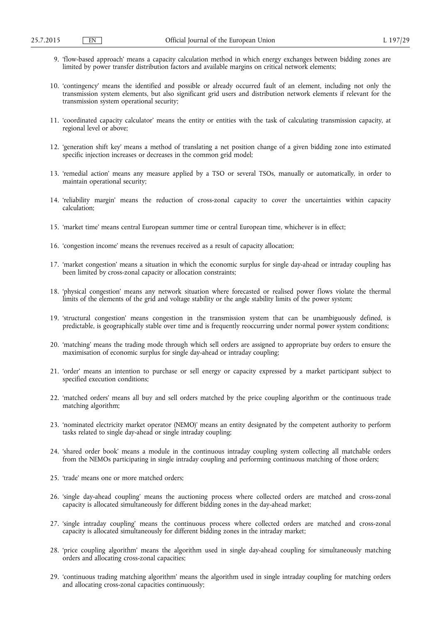- 9. 'flow-based approach' means a capacity calculation method in which energy exchanges between bidding zones are limited by power transfer distribution factors and available margins on critical network elements;
- 10. 'contingency' means the identified and possible or already occurred fault of an element, including not only the transmission system elements, but also significant grid users and distribution network elements if relevant for the transmission system operational security;
- 11. 'coordinated capacity calculator' means the entity or entities with the task of calculating transmission capacity, at regional level or above;
- 12. 'generation shift key' means a method of translating a net position change of a given bidding zone into estimated specific injection increases or decreases in the common grid model;
- 13. 'remedial action' means any measure applied by a TSO or several TSOs, manually or automatically, in order to maintain operational security;
- 14. 'reliability margin' means the reduction of cross-zonal capacity to cover the uncertainties within capacity calculation;
- 15. 'market time' means central European summer time or central European time, whichever is in effect;
- 16. 'congestion income' means the revenues received as a result of capacity allocation;
- 17. 'market congestion' means a situation in which the economic surplus for single day-ahead or intraday coupling has been limited by cross-zonal capacity or allocation constraints;
- 18. 'physical congestion' means any network situation where forecasted or realised power flows violate the thermal limits of the elements of the grid and voltage stability or the angle stability limits of the power system;
- 19. 'structural congestion' means congestion in the transmission system that can be unambiguously defined, is predictable, is geographically stable over time and is frequently reoccurring under normal power system conditions;
- 20. 'matching' means the trading mode through which sell orders are assigned to appropriate buy orders to ensure the maximisation of economic surplus for single day-ahead or intraday coupling;
- 21. 'order' means an intention to purchase or sell energy or capacity expressed by a market participant subject to specified execution conditions;
- 22. 'matched orders' means all buy and sell orders matched by the price coupling algorithm or the continuous trade matching algorithm;
- 23. 'nominated electricity market operator (NEMO)' means an entity designated by the competent authority to perform tasks related to single day-ahead or single intraday coupling;
- 24. 'shared order book' means a module in the continuous intraday coupling system collecting all matchable orders from the NEMOs participating in single intraday coupling and performing continuous matching of those orders;
- 25. 'trade' means one or more matched orders;
- 26. 'single day-ahead coupling' means the auctioning process where collected orders are matched and cross-zonal capacity is allocated simultaneously for different bidding zones in the day-ahead market;
- 27. 'single intraday coupling' means the continuous process where collected orders are matched and cross-zonal capacity is allocated simultaneously for different bidding zones in the intraday market;
- 28. 'price coupling algorithm' means the algorithm used in single day-ahead coupling for simultaneously matching orders and allocating cross-zonal capacities;
- 29. 'continuous trading matching algorithm' means the algorithm used in single intraday coupling for matching orders and allocating cross-zonal capacities continuously;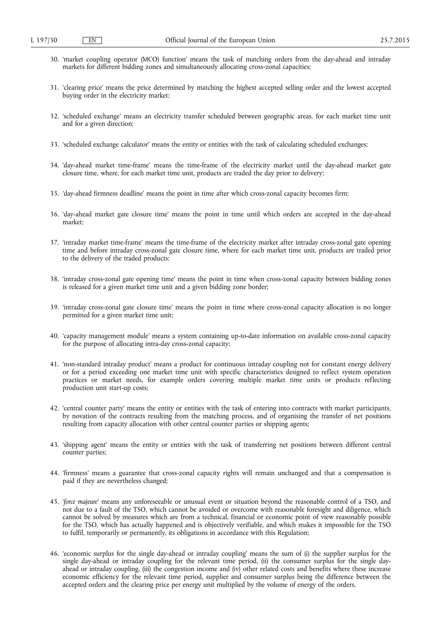- 30. 'market coupling operator (MCO) function' means the task of matching orders from the day-ahead and intraday markets for different bidding zones and simultaneously allocating cross-zonal capacities;
- 31. 'clearing price' means the price determined by matching the highest accepted selling order and the lowest accepted buying order in the electricity market;
- 32. 'scheduled exchange' means an electricity transfer scheduled between geographic areas, for each market time unit and for a given direction;
- 33. 'scheduled exchange calculator' means the entity or entities with the task of calculating scheduled exchanges;
- 34. 'day-ahead market time-frame' means the time-frame of the electricity market until the day-ahead market gate closure time, where, for each market time unit, products are traded the day prior to delivery;
- 35. 'day-ahead firmness deadline' means the point in time after which cross-zonal capacity becomes firm;
- 36. 'day-ahead market gate closure time' means the point in time until which orders are accepted in the day-ahead market;
- 37. 'intraday market time-frame' means the time-frame of the electricity market after intraday cross-zonal gate opening time and before intraday cross-zonal gate closure time, where for each market time unit, products are traded prior to the delivery of the traded products;
- 38. 'intraday cross-zonal gate opening time' means the point in time when cross-zonal capacity between bidding zones is released for a given market time unit and a given bidding zone border;
- 39. 'intraday cross-zonal gate closure time' means the point in time where cross-zonal capacity allocation is no longer permitted for a given market time unit;
- 40. 'capacity management module' means a system containing up-to-date information on available cross-zonal capacity for the purpose of allocating intra-day cross-zonal capacity;
- 41. 'non-standard intraday product' means a product for continuous intraday coupling not for constant energy delivery or for a period exceeding one market time unit with specific characteristics designed to reflect system operation practices or market needs, for example orders covering multiple market time units or products reflecting production unit start-up costs;
- 42. 'central counter party' means the entity or entities with the task of entering into contracts with market participants, by novation of the contracts resulting from the matching process, and of organising the transfer of net positions resulting from capacity allocation with other central counter parties or shipping agents;
- 43. 'shipping agent' means the entity or entities with the task of transferring net positions between different central counter parties;
- 44. 'firmness' means a guarantee that cross-zonal capacity rights will remain unchanged and that a compensation is paid if they are nevertheless changed;
- 45. '*force majeure*' means any unforeseeable or unusual event or situation beyond the reasonable control of a TSO, and not due to a fault of the TSO, which cannot be avoided or overcome with reasonable foresight and diligence, which cannot be solved by measures which are from a technical, financial or economic point of view reasonably possible for the TSO, which has actually happened and is objectively verifiable, and which makes it impossible for the TSO to fulfil, temporarily or permanently, its obligations in accordance with this Regulation;
- 46. 'economic surplus for the single day-ahead or intraday coupling' means the sum of (i) the supplier surplus for the single day-ahead or intraday coupling for the relevant time period, (ii) the consumer surplus for the single dayahead or intraday coupling, (iii) the congestion income and (iv) other related costs and benefits where these increase economic efficiency for the relevant time period, supplier and consumer surplus being the difference between the accepted orders and the clearing price per energy unit multiplied by the volume of energy of the orders.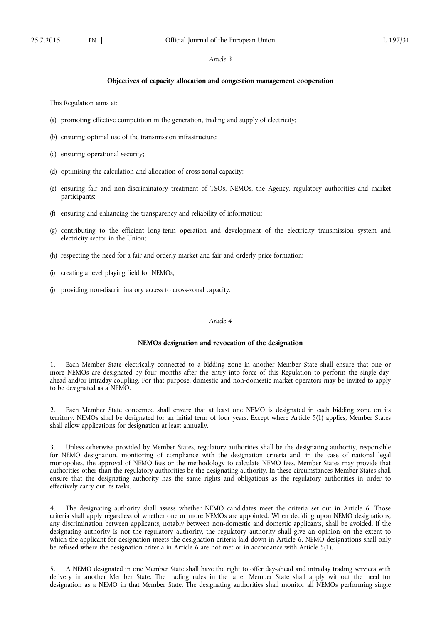## **Objectives of capacity allocation and congestion management cooperation**

This Regulation aims at:

- (a) promoting effective competition in the generation, trading and supply of electricity;
- (b) ensuring optimal use of the transmission infrastructure;
- (c) ensuring operational security;
- (d) optimising the calculation and allocation of cross-zonal capacity;
- (e) ensuring fair and non-discriminatory treatment of TSOs, NEMOs, the Agency, regulatory authorities and market participants;
- (f) ensuring and enhancing the transparency and reliability of information;
- (g) contributing to the efficient long-term operation and development of the electricity transmission system and electricity sector in the Union;
- (h) respecting the need for a fair and orderly market and fair and orderly price formation;
- (i) creating a level playing field for NEMOs;
- (j) providing non-discriminatory access to cross-zonal capacity.

# *Article 4*

## **NEMOs designation and revocation of the designation**

1. Each Member State electrically connected to a bidding zone in another Member State shall ensure that one or more NEMOs are designated by four months after the entry into force of this Regulation to perform the single dayahead and/or intraday coupling. For that purpose, domestic and non-domestic market operators may be invited to apply to be designated as a NEMO.

2. Each Member State concerned shall ensure that at least one NEMO is designated in each bidding zone on its territory. NEMOs shall be designated for an initial term of four years. Except where Article 5(1) applies, Member States shall allow applications for designation at least annually.

Unless otherwise provided by Member States, regulatory authorities shall be the designating authority, responsible for NEMO designation, monitoring of compliance with the designation criteria and, in the case of national legal monopolies, the approval of NEMO fees or the methodology to calculate NEMO fees. Member States may provide that authorities other than the regulatory authorities be the designating authority. In these circumstances Member States shall ensure that the designating authority has the same rights and obligations as the regulatory authorities in order to effectively carry out its tasks.

4. The designating authority shall assess whether NEMO candidates meet the criteria set out in Article 6. Those criteria shall apply regardless of whether one or more NEMOs are appointed. When deciding upon NEMO designations, any discrimination between applicants, notably between non-domestic and domestic applicants, shall be avoided. If the designating authority is not the regulatory authority, the regulatory authority shall give an opinion on the extent to which the applicant for designation meets the designation criteria laid down in Article 6. NEMO designations shall only be refused where the designation criteria in Article 6 are not met or in accordance with Article 5(1).

5. A NEMO designated in one Member State shall have the right to offer day-ahead and intraday trading services with delivery in another Member State. The trading rules in the latter Member State shall apply without the need for designation as a NEMO in that Member State. The designating authorities shall monitor all NEMOs performing single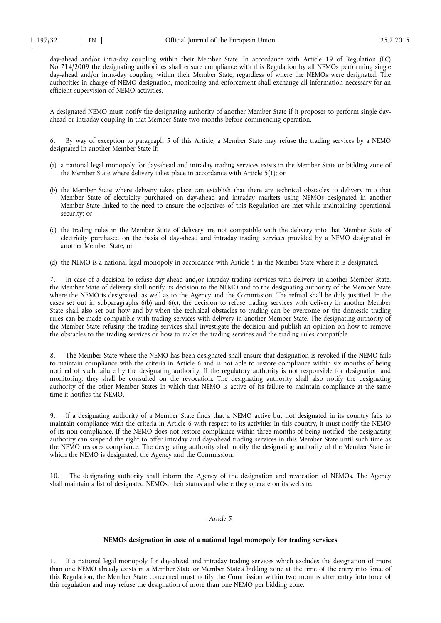day-ahead and/or intra-day coupling within their Member State. In accordance with Article 19 of Regulation (EC) No 714/2009 the designating authorities shall ensure compliance with this Regulation by all NEMOs performing single day-ahead and/or intra-day coupling within their Member State, regardless of where the NEMOs were designated. The authorities in charge of NEMO designation, monitoring and enforcement shall exchange all information necessary for an efficient supervision of NEMO activities.

A designated NEMO must notify the designating authority of another Member State if it proposes to perform single dayahead or intraday coupling in that Member State two months before commencing operation.

6. By way of exception to paragraph 5 of this Article, a Member State may refuse the trading services by a NEMO designated in another Member State if:

- (a) a national legal monopoly for day-ahead and intraday trading services exists in the Member State or bidding zone of the Member State where delivery takes place in accordance with Article 5(1); or
- (b) the Member State where delivery takes place can establish that there are technical obstacles to delivery into that Member State of electricity purchased on day-ahead and intraday markets using NEMOs designated in another Member State linked to the need to ensure the objectives of this Regulation are met while maintaining operational security; or
- (c) the trading rules in the Member State of delivery are not compatible with the delivery into that Member State of electricity purchased on the basis of day-ahead and intraday trading services provided by a NEMO designated in another Member State; or
- (d) the NEMO is a national legal monopoly in accordance with Article 5 in the Member State where it is designated.

7. In case of a decision to refuse day-ahead and/or intraday trading services with delivery in another Member State, the Member State of delivery shall notify its decision to the NEMO and to the designating authority of the Member State where the NEMO is designated, as well as to the Agency and the Commission. The refusal shall be duly justified. In the cases set out in subparagraphs 6(b) and 6(c), the decision to refuse trading services with delivery in another Member State shall also set out how and by when the technical obstacles to trading can be overcome or the domestic trading rules can be made compatible with trading services with delivery in another Member State. The designating authority of the Member State refusing the trading services shall investigate the decision and publish an opinion on how to remove the obstacles to the trading services or how to make the trading services and the trading rules compatible.

8. The Member State where the NEMO has been designated shall ensure that designation is revoked if the NEMO fails to maintain compliance with the criteria in Article 6 and is not able to restore compliance within six months of being notified of such failure by the designating authority. If the regulatory authority is not responsible for designation and monitoring, they shall be consulted on the revocation. The designating authority shall also notify the designating authority of the other Member States in which that NEMO is active of its failure to maintain compliance at the same time it notifies the NEMO.

9. If a designating authority of a Member State finds that a NEMO active but not designated in its country fails to maintain compliance with the criteria in Article 6 with respect to its activities in this country, it must notify the NEMO of its non-compliance. If the NEMO does not restore compliance within three months of being notified, the designating authority can suspend the right to offer intraday and day-ahead trading services in this Member State until such time as the NEMO restores compliance. The designating authority shall notify the designating authority of the Member State in which the NEMO is designated, the Agency and the Commission.

10. The designating authority shall inform the Agency of the designation and revocation of NEMOs. The Agency shall maintain a list of designated NEMOs, their status and where they operate on its website.

#### *Article 5*

## **NEMOs designation in case of a national legal monopoly for trading services**

1. If a national legal monopoly for day-ahead and intraday trading services which excludes the designation of more than one NEMO already exists in a Member State or Member State's bidding zone at the time of the entry into force of this Regulation, the Member State concerned must notify the Commission within two months after entry into force of this regulation and may refuse the designation of more than one NEMO per bidding zone.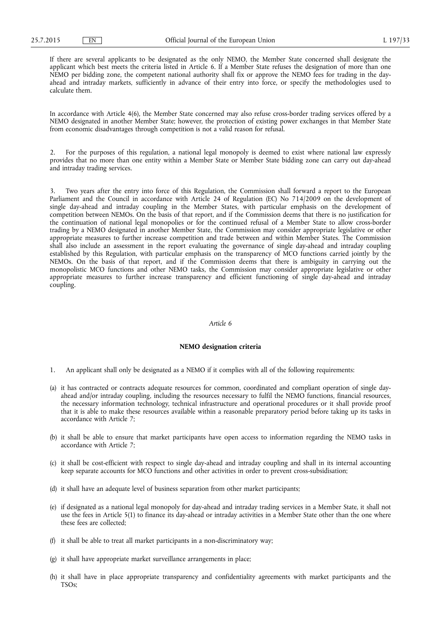If there are several applicants to be designated as the only NEMO, the Member State concerned shall designate the applicant which best meets the criteria listed in Article 6. If a Member State refuses the designation of more than one NEMO per bidding zone, the competent national authority shall fix or approve the NEMO fees for trading in the dayahead and intraday markets, sufficiently in advance of their entry into force, or specify the methodologies used to calculate them.

In accordance with Article 4(6), the Member State concerned may also refuse cross-border trading services offered by a NEMO designated in another Member State; however, the protection of existing power exchanges in that Member State from economic disadvantages through competition is not a valid reason for refusal.

2. For the purposes of this regulation, a national legal monopoly is deemed to exist where national law expressly provides that no more than one entity within a Member State or Member State bidding zone can carry out day-ahead and intraday trading services.

3. Two years after the entry into force of this Regulation, the Commission shall forward a report to the European Parliament and the Council in accordance with Article 24 of Regulation (EC) No 714/2009 on the development of single day-ahead and intraday coupling in the Member States, with particular emphasis on the development of competition between NEMOs. On the basis of that report, and if the Commission deems that there is no justification for the continuation of national legal monopolies or for the continued refusal of a Member State to allow cross-border trading by a NEMO designated in another Member State, the Commission may consider appropriate legislative or other appropriate measures to further increase competition and trade between and within Member States. The Commission shall also include an assessment in the report evaluating the governance of single day-ahead and intraday coupling established by this Regulation, with particular emphasis on the transparency of MCO functions carried jointly by the NEMOs. On the basis of that report, and if the Commission deems that there is ambiguity in carrying out the monopolistic MCO functions and other NEMO tasks, the Commission may consider appropriate legislative or other appropriate measures to further increase transparency and efficient functioning of single day-ahead and intraday coupling.

#### *Article 6*

#### **NEMO designation criteria**

- 1. An applicant shall only be designated as a NEMO if it complies with all of the following requirements:
- (a) it has contracted or contracts adequate resources for common, coordinated and compliant operation of single dayahead and/or intraday coupling, including the resources necessary to fulfil the NEMO functions, financial resources, the necessary information technology, technical infrastructure and operational procedures or it shall provide proof that it is able to make these resources available within a reasonable preparatory period before taking up its tasks in accordance with Article 7;
- (b) it shall be able to ensure that market participants have open access to information regarding the NEMO tasks in accordance with Article 7;
- (c) it shall be cost-efficient with respect to single day-ahead and intraday coupling and shall in its internal accounting keep separate accounts for MCO functions and other activities in order to prevent cross-subsidisation;
- (d) it shall have an adequate level of business separation from other market participants;
- (e) if designated as a national legal monopoly for day-ahead and intraday trading services in a Member State, it shall not use the fees in Article 5(1) to finance its day-ahead or intraday activities in a Member State other than the one where these fees are collected;
- (f) it shall be able to treat all market participants in a non-discriminatory way;
- (g) it shall have appropriate market surveillance arrangements in place;
- (h) it shall have in place appropriate transparency and confidentiality agreements with market participants and the TSOs;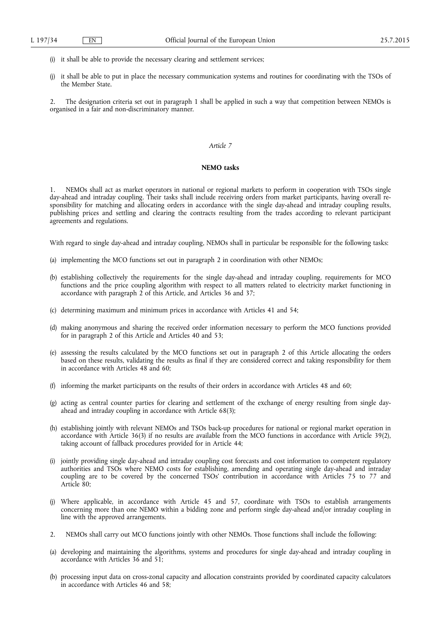- (i) it shall be able to provide the necessary clearing and settlement services;
- (j) it shall be able to put in place the necessary communication systems and routines for coordinating with the TSOs of the Member State.

2. The designation criteria set out in paragraph 1 shall be applied in such a way that competition between NEMOs is organised in a fair and non-discriminatory manner.

## *Article 7*

# **NEMO tasks**

NEMOs shall act as market operators in national or regional markets to perform in cooperation with TSOs single day-ahead and intraday coupling. Their tasks shall include receiving orders from market participants, having overall responsibility for matching and allocating orders in accordance with the single day-ahead and intraday coupling results, publishing prices and settling and clearing the contracts resulting from the trades according to relevant participant agreements and regulations.

With regard to single day-ahead and intraday coupling, NEMOs shall in particular be responsible for the following tasks:

- (a) implementing the MCO functions set out in paragraph 2 in coordination with other NEMOs;
- (b) establishing collectively the requirements for the single day-ahead and intraday coupling, requirements for MCO functions and the price coupling algorithm with respect to all matters related to electricity market functioning in accordance with paragraph 2 of this Article, and Articles 36 and 37;
- (c) determining maximum and minimum prices in accordance with Articles 41 and 54;
- (d) making anonymous and sharing the received order information necessary to perform the MCO functions provided for in paragraph 2 of this Article and Articles 40 and 53;
- (e) assessing the results calculated by the MCO functions set out in paragraph 2 of this Article allocating the orders based on these results, validating the results as final if they are considered correct and taking responsibility for them in accordance with Articles 48 and 60;
- (f) informing the market participants on the results of their orders in accordance with Articles 48 and 60;
- (g) acting as central counter parties for clearing and settlement of the exchange of energy resulting from single dayahead and intraday coupling in accordance with Article 68(3);
- (h) establishing jointly with relevant NEMOs and TSOs back-up procedures for national or regional market operation in accordance with Article 36(3) if no results are available from the MCO functions in accordance with Article 39(2), taking account of fallback procedures provided for in Article 44;
- (i) jointly providing single day-ahead and intraday coupling cost forecasts and cost information to competent regulatory authorities and TSOs where NEMO costs for establishing, amending and operating single day-ahead and intraday coupling are to be covered by the concerned TSOs' contribution in accordance with Articles 75 to 77 and Article 80:
- (j) Where applicable, in accordance with Article 45 and 57, coordinate with TSOs to establish arrangements concerning more than one NEMO within a bidding zone and perform single day-ahead and/or intraday coupling in line with the approved arrangements.
- 2. NEMOs shall carry out MCO functions jointly with other NEMOs. Those functions shall include the following:
- (a) developing and maintaining the algorithms, systems and procedures for single day-ahead and intraday coupling in accordance with Articles 36 and 51;
- (b) processing input data on cross-zonal capacity and allocation constraints provided by coordinated capacity calculators in accordance with Articles 46 and 58;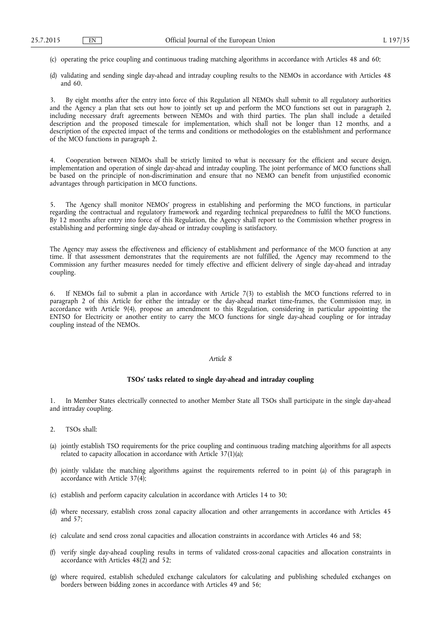- (c) operating the price coupling and continuous trading matching algorithms in accordance with Articles 48 and 60;
- (d) validating and sending single day-ahead and intraday coupling results to the NEMOs in accordance with Articles 48 and 60.

3. By eight months after the entry into force of this Regulation all NEMOs shall submit to all regulatory authorities and the Agency a plan that sets out how to jointly set up and perform the MCO functions set out in paragraph 2, including necessary draft agreements between NEMOs and with third parties. The plan shall include a detailed description and the proposed timescale for implementation, which shall not be longer than 12 months, and a description of the expected impact of the terms and conditions or methodologies on the establishment and performance of the MCO functions in paragraph 2.

4. Cooperation between NEMOs shall be strictly limited to what is necessary for the efficient and secure design, implementation and operation of single day-ahead and intraday coupling. The joint performance of MCO functions shall be based on the principle of non-discrimination and ensure that no NEMO can benefit from unjustified economic advantages through participation in MCO functions.

5. The Agency shall monitor NEMOs' progress in establishing and performing the MCO functions, in particular regarding the contractual and regulatory framework and regarding technical preparedness to fulfil the MCO functions. By 12 months after entry into force of this Regulation, the Agency shall report to the Commission whether progress in establishing and performing single day-ahead or intraday coupling is satisfactory.

The Agency may assess the effectiveness and efficiency of establishment and performance of the MCO function at any time. If that assessment demonstrates that the requirements are not fulfilled, the Agency may recommend to the Commission any further measures needed for timely effective and efficient delivery of single day-ahead and intraday coupling.

6. If NEMOs fail to submit a plan in accordance with Article 7(3) to establish the MCO functions referred to in paragraph 2 of this Article for either the intraday or the day-ahead market time-frames, the Commission may, in accordance with Article 9(4), propose an amendment to this Regulation, considering in particular appointing the ENTSO for Electricity or another entity to carry the MCO functions for single day-ahead coupling or for intraday coupling instead of the NEMOs.

#### *Article 8*

## **TSOs' tasks related to single day-ahead and intraday coupling**

1. In Member States electrically connected to another Member State all TSOs shall participate in the single day-ahead and intraday coupling.

- 2. TSOs shall:
- (a) jointly establish TSO requirements for the price coupling and continuous trading matching algorithms for all aspects related to capacity allocation in accordance with Article 37(1)(a);
- (b) jointly validate the matching algorithms against the requirements referred to in point (a) of this paragraph in accordance with Article 37(4);
- (c) establish and perform capacity calculation in accordance with Articles 14 to 30;
- (d) where necessary, establish cross zonal capacity allocation and other arrangements in accordance with Articles 45 and 57;
- (e) calculate and send cross zonal capacities and allocation constraints in accordance with Articles 46 and 58;
- (f) verify single day-ahead coupling results in terms of validated cross-zonal capacities and allocation constraints in accordance with Articles 48(2) and 52;
- (g) where required, establish scheduled exchange calculators for calculating and publishing scheduled exchanges on borders between bidding zones in accordance with Articles 49 and 56;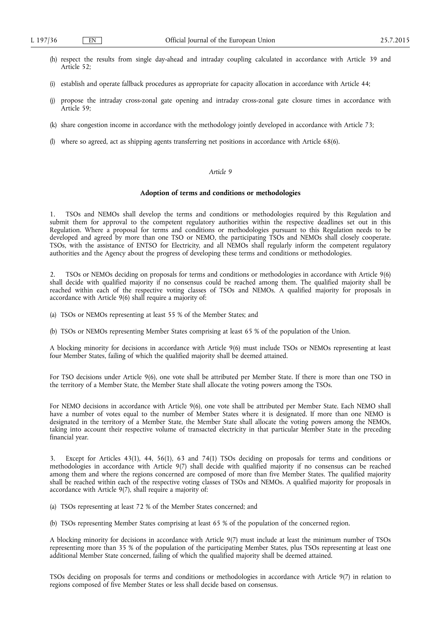- (h) respect the results from single day-ahead and intraday coupling calculated in accordance with Article 39 and Article 52;
- (i) establish and operate fallback procedures as appropriate for capacity allocation in accordance with Article 44;
- (j) propose the intraday cross-zonal gate opening and intraday cross-zonal gate closure times in accordance with Article 59;
- (k) share congestion income in accordance with the methodology jointly developed in accordance with Article 73;
- (l) where so agreed, act as shipping agents transferring net positions in accordance with Article 68(6).

## **Adoption of terms and conditions or methodologies**

1. TSOs and NEMOs shall develop the terms and conditions or methodologies required by this Regulation and submit them for approval to the competent regulatory authorities within the respective deadlines set out in this Regulation. Where a proposal for terms and conditions or methodologies pursuant to this Regulation needs to be developed and agreed by more than one TSO or NEMO, the participating TSOs and NEMOs shall closely cooperate. TSOs, with the assistance of ENTSO for Electricity, and all NEMOs shall regularly inform the competent regulatory authorities and the Agency about the progress of developing these terms and conditions or methodologies.

2. TSOs or NEMOs deciding on proposals for terms and conditions or methodologies in accordance with Article 9(6) shall decide with qualified majority if no consensus could be reached among them. The qualified majority shall be reached within each of the respective voting classes of TSOs and NEMOs. A qualified majority for proposals in accordance with Article 9(6) shall require a majority of:

(a) TSOs or NEMOs representing at least 55 % of the Member States; and

(b) TSOs or NEMOs representing Member States comprising at least 65 % of the population of the Union.

A blocking minority for decisions in accordance with Article 9(6) must include TSOs or NEMOs representing at least four Member States, failing of which the qualified majority shall be deemed attained.

For TSO decisions under Article 9(6), one vote shall be attributed per Member State. If there is more than one TSO in the territory of a Member State, the Member State shall allocate the voting powers among the TSOs.

For NEMO decisions in accordance with Article 9(6), one vote shall be attributed per Member State. Each NEMO shall have a number of votes equal to the number of Member States where it is designated. If more than one NEMO is designated in the territory of a Member State, the Member State shall allocate the voting powers among the NEMOs, taking into account their respective volume of transacted electricity in that particular Member State in the preceding financial year.

Except for Articles 43(1), 44, 56(1), 63 and 74(1) TSOs deciding on proposals for terms and conditions or methodologies in accordance with Article 9(7) shall decide with qualified majority if no consensus can be reached among them and where the regions concerned are composed of more than five Member States. The qualified majority shall be reached within each of the respective voting classes of TSOs and NEMOs. A qualified majority for proposals in accordance with Article 9(7), shall require a majority of:

(a) TSOs representing at least 72 % of the Member States concerned; and

(b) TSOs representing Member States comprising at least 65 % of the population of the concerned region.

A blocking minority for decisions in accordance with Article 9(7) must include at least the minimum number of TSOs representing more than 35 % of the population of the participating Member States, plus TSOs representing at least one additional Member State concerned, failing of which the qualified majority shall be deemed attained.

TSOs deciding on proposals for terms and conditions or methodologies in accordance with Article 9(7) in relation to regions composed of five Member States or less shall decide based on consensus.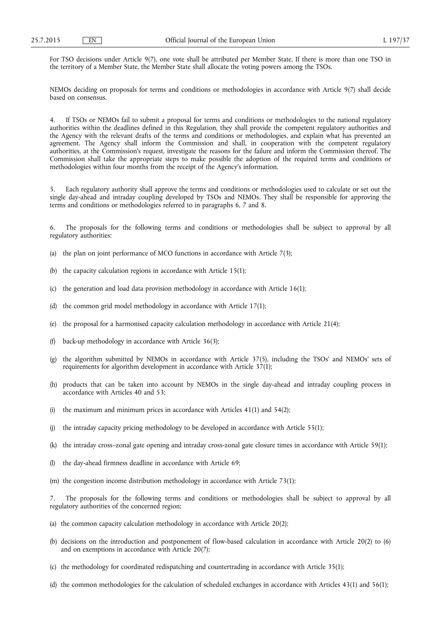For TSO decisions under Article 9(7), one vote shall be attributed per Member State. If there is more than one TSO in the territory of a Member State, the Member State shall allocate the voting powers among the TSOs.

NEMOs deciding on proposals for terms and conditions or methodologies in accordance with Article 9(7) shall decide based on consensus.

4. If TSOs or NEMOs fail to submit a proposal for terms and conditions or methodologies to the national regulatory authorities within the deadlines defined in this Regulation, they shall provide the competent regulatory authorities and the Agency with the relevant drafts of the terms and conditions or methodologies, and explain what has prevented an agreement. The Agency shall inform the Commission and shall, in cooperation with the competent regulatory authorities, at the Commission's request, investigate the reasons for the failure and inform the Commission thereof. The Commission shall take the appropriate steps to make possible the adoption of the required terms and conditions or methodologies within four months from the receipt of the Agency's information.

5. Each regulatory authority shall approve the terms and conditions or methodologies used to calculate or set out the single day-ahead and intraday coupling developed by TSOs and NEMOs. They shall be responsible for approving the terms and conditions or methodologies referred to in paragraphs 6, 7 and 8.

The proposals for the following terms and conditions or methodologies shall be subject to approval by all regulatory authorities:

- (a) the plan on joint performance of MCO functions in accordance with Article  $7(3)$ ;
- (b) the capacity calculation regions in accordance with Article 15(1);
- (c) the generation and load data provision methodology in accordance with Article 16(1);
- (d) the common grid model methodology in accordance with Article 17(1);
- (e) the proposal for a harmonised capacity calculation methodology in accordance with Article 21(4);
- (f) back-up methodology in accordance with Article 36(3);
- (g) the algorithm submitted by NEMOs in accordance with Article 37(5), including the TSOs' and NEMOs' sets of requirements for algorithm development in accordance with Article 37(1);
- (h) products that can be taken into account by NEMOs in the single day-ahead and intraday coupling process in accordance with Articles 40 and 53;
- (i) the maximum and minimum prices in accordance with Articles  $41(1)$  and  $54(2)$ ;
- (j) the intraday capacity pricing methodology to be developed in accordance with Article 55(1);
- (k) the intraday cross–zonal gate opening and intraday cross-zonal gate closure times in accordance with Article 59(1);
- (l) the day-ahead firmness deadline in accordance with Article 69;
- (m) the congestion income distribution methodology in accordance with Article 73(1);

7. The proposals for the following terms and conditions or methodologies shall be subject to approval by all regulatory authorities of the concerned region:

- (a) the common capacity calculation methodology in accordance with Article 20(2);
- (b) decisions on the introduction and postponement of flow-based calculation in accordance with Article 20(2) to (6) and on exemptions in accordance with Article 20(7);
- (c) the methodology for coordinated redispatching and countertrading in accordance with Article 35(1);
- (d) the common methodologies for the calculation of scheduled exchanges in accordance with Articles 43(1) and 56(1);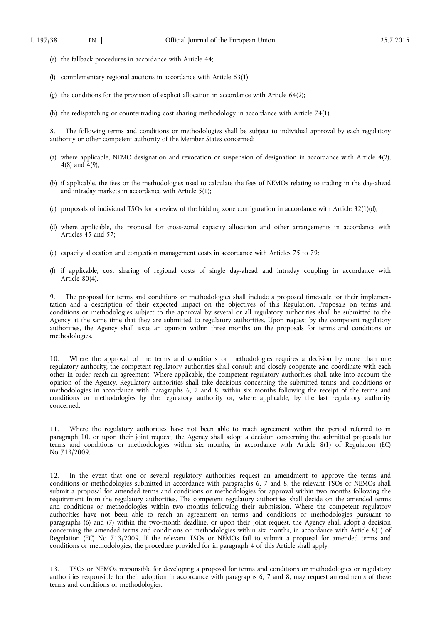- (e) the fallback procedures in accordance with Article 44;
- (f) complementary regional auctions in accordance with Article 63(1);
- (g) the conditions for the provision of explicit allocation in accordance with Article 64(2);
- (h) the redispatching or countertrading cost sharing methodology in accordance with Article 74(1).

8. The following terms and conditions or methodologies shall be subject to individual approval by each regulatory authority or other competent authority of the Member States concerned:

- (a) where applicable, NEMO designation and revocation or suspension of designation in accordance with Article 4(2), 4(8) and  $4(9)$ ;
- (b) if applicable, the fees or the methodologies used to calculate the fees of NEMOs relating to trading in the day-ahead and intraday markets in accordance with Article 5(1);
- (c) proposals of individual TSOs for a review of the bidding zone configuration in accordance with Article 32(1)(d);
- (d) where applicable, the proposal for cross-zonal capacity allocation and other arrangements in accordance with Articles 45 and 57;
- (e) capacity allocation and congestion management costs in accordance with Articles 75 to 79;
- (f) if applicable, cost sharing of regional costs of single day-ahead and intraday coupling in accordance with Article 80(4).

9. The proposal for terms and conditions or methodologies shall include a proposed timescale for their implementation and a description of their expected impact on the objectives of this Regulation. Proposals on terms and conditions or methodologies subject to the approval by several or all regulatory authorities shall be submitted to the Agency at the same time that they are submitted to regulatory authorities. Upon request by the competent regulatory authorities, the Agency shall issue an opinion within three months on the proposals for terms and conditions or methodologies.

10. Where the approval of the terms and conditions or methodologies requires a decision by more than one regulatory authority, the competent regulatory authorities shall consult and closely cooperate and coordinate with each other in order reach an agreement. Where applicable, the competent regulatory authorities shall take into account the opinion of the Agency. Regulatory authorities shall take decisions concerning the submitted terms and conditions or methodologies in accordance with paragraphs 6, 7 and 8, within six months following the receipt of the terms and conditions or methodologies by the regulatory authority or, where applicable, by the last regulatory authority concerned.

11. Where the regulatory authorities have not been able to reach agreement within the period referred to in paragraph 10, or upon their joint request, the Agency shall adopt a decision concerning the submitted proposals for terms and conditions or methodologies within six months, in accordance with Article 8(1) of Regulation (EC) No 713/2009.

12. In the event that one or several regulatory authorities request an amendment to approve the terms and conditions or methodologies submitted in accordance with paragraphs 6, 7 and 8, the relevant TSOs or NEMOs shall submit a proposal for amended terms and conditions or methodologies for approval within two months following the requirement from the regulatory authorities. The competent regulatory authorities shall decide on the amended terms and conditions or methodologies within two months following their submission. Where the competent regulatory authorities have not been able to reach an agreement on terms and conditions or methodologies pursuant to paragraphs (6) and (7) within the two-month deadline, or upon their joint request, the Agency shall adopt a decision concerning the amended terms and conditions or methodologies within six months, in accordance with Article 8(1) of Regulation (EC) No 713/2009. If the relevant TSOs or NEMOs fail to submit a proposal for amended terms and conditions or methodologies, the procedure provided for in paragraph 4 of this Article shall apply.

13. TSOs or NEMOs responsible for developing a proposal for terms and conditions or methodologies or regulatory authorities responsible for their adoption in accordance with paragraphs 6, 7 and 8, may request amendments of these terms and conditions or methodologies.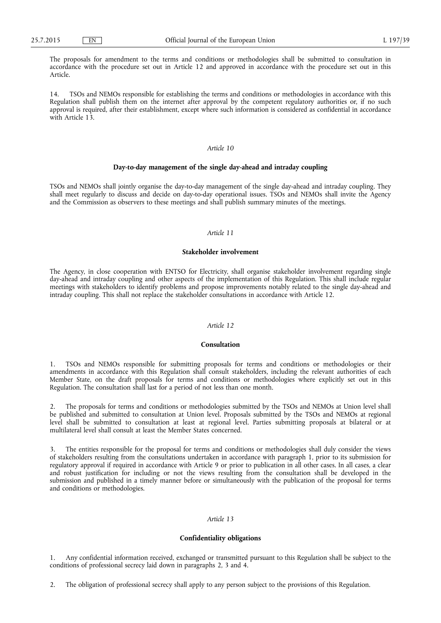The proposals for amendment to the terms and conditions or methodologies shall be submitted to consultation in accordance with the procedure set out in Article 12 and approved in accordance with the procedure set out in this Article.

14. TSOs and NEMOs responsible for establishing the terms and conditions or methodologies in accordance with this Regulation shall publish them on the internet after approval by the competent regulatory authorities or, if no such approval is required, after their establishment, except where such information is considered as confidential in accordance with Article 13.

## *Article 10*

## **Day-to-day management of the single day-ahead and intraday coupling**

TSOs and NEMOs shall jointly organise the day-to-day management of the single day-ahead and intraday coupling. They shall meet regularly to discuss and decide on day-to-day operational issues. TSOs and NEMOs shall invite the Agency and the Commission as observers to these meetings and shall publish summary minutes of the meetings.

## *Article 11*

#### **Stakeholder involvement**

The Agency, in close cooperation with ENTSO for Electricity, shall organise stakeholder involvement regarding single day-ahead and intraday coupling and other aspects of the implementation of this Regulation. This shall include regular meetings with stakeholders to identify problems and propose improvements notably related to the single day-ahead and intraday coupling. This shall not replace the stakeholder consultations in accordance with Article 12.

#### *Article 12*

## **Consultation**

1. TSOs and NEMOs responsible for submitting proposals for terms and conditions or methodologies or their amendments in accordance with this Regulation shall consult stakeholders, including the relevant authorities of each Member State, on the draft proposals for terms and conditions or methodologies where explicitly set out in this Regulation. The consultation shall last for a period of not less than one month.

2. The proposals for terms and conditions or methodologies submitted by the TSOs and NEMOs at Union level shall be published and submitted to consultation at Union level. Proposals submitted by the TSOs and NEMOs at regional level shall be submitted to consultation at least at regional level. Parties submitting proposals at bilateral or at multilateral level shall consult at least the Member States concerned.

3. The entities responsible for the proposal for terms and conditions or methodologies shall duly consider the views of stakeholders resulting from the consultations undertaken in accordance with paragraph 1, prior to its submission for regulatory approval if required in accordance with Article 9 or prior to publication in all other cases. In all cases, a clear and robust justification for including or not the views resulting from the consultation shall be developed in the submission and published in a timely manner before or simultaneously with the publication of the proposal for terms and conditions or methodologies.

# *Article 13*

## **Confidentiality obligations**

1. Any confidential information received, exchanged or transmitted pursuant to this Regulation shall be subject to the conditions of professional secrecy laid down in paragraphs 2, 3 and 4.

2. The obligation of professional secrecy shall apply to any person subject to the provisions of this Regulation.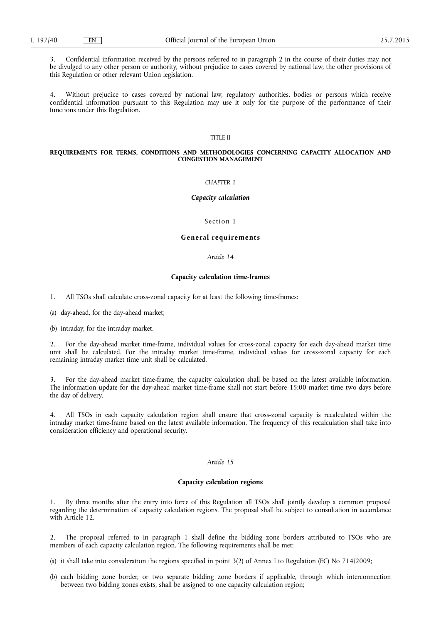3. Confidential information received by the persons referred to in paragraph 2 in the course of their duties may not be divulged to any other person or authority, without prejudice to cases covered by national law, the other provisions of this Regulation or other relevant Union legislation.

4. Without prejudice to cases covered by national law, regulatory authorities, bodies or persons which receive confidential information pursuant to this Regulation may use it only for the purpose of the performance of their functions under this Regulation.

#### TITLE II

## **REQUIREMENTS FOR TERMS, CONDITIONS AND METHODOLOGIES CONCERNING CAPACITY ALLOCATION AND CONGESTION MANAGEMENT**

#### *CHAPTER 1*

## *Capacity calculation*

Section 1

## **General requirements**

#### *Article 14*

#### **Capacity calculation time-frames**

1. All TSOs shall calculate cross-zonal capacity for at least the following time-frames:

(a) day-ahead, for the day-ahead market;

(b) intraday, for the intraday market.

2. For the day-ahead market time-frame, individual values for cross-zonal capacity for each day-ahead market time unit shall be calculated. For the intraday market time-frame, individual values for cross-zonal capacity for each remaining intraday market time unit shall be calculated.

3. For the day-ahead market time-frame, the capacity calculation shall be based on the latest available information. The information update for the day-ahead market time-frame shall not start before 15:00 market time two days before the day of delivery.

All TSOs in each capacity calculation region shall ensure that cross-zonal capacity is recalculated within the intraday market time-frame based on the latest available information. The frequency of this recalculation shall take into consideration efficiency and operational security.

## *Article 15*

## **Capacity calculation regions**

1. By three months after the entry into force of this Regulation all TSOs shall jointly develop a common proposal regarding the determination of capacity calculation regions. The proposal shall be subject to consultation in accordance with Article 12.

2. The proposal referred to in paragraph 1 shall define the bidding zone borders attributed to TSOs who are members of each capacity calculation region. The following requirements shall be met:

(a) it shall take into consideration the regions specified in point 3(2) of Annex I to Regulation (EC) No 714/2009;

(b) each bidding zone border, or two separate bidding zone borders if applicable, through which interconnection between two bidding zones exists, shall be assigned to one capacity calculation region;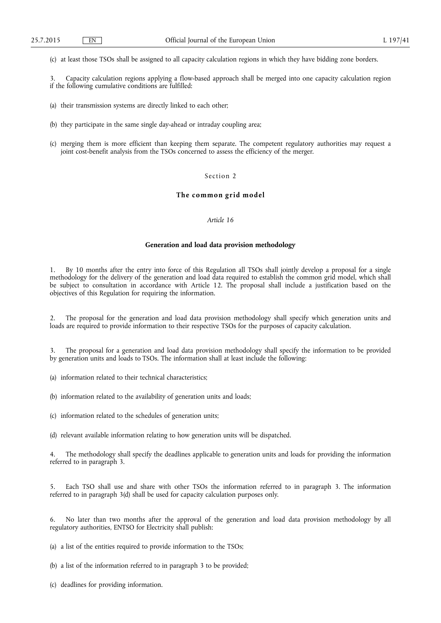(c) at least those TSOs shall be assigned to all capacity calculation regions in which they have bidding zone borders.

3. Capacity calculation regions applying a flow-based approach shall be merged into one capacity calculation region if the following cumulative conditions are fulfilled:

(a) their transmission systems are directly linked to each other;

- (b) they participate in the same single day-ahead or intraday coupling area;
- (c) merging them is more efficient than keeping them separate. The competent regulatory authorities may request a joint cost-benefit analysis from the TSOs concerned to assess the efficiency of the merger.

## Section 2

## **The common grid model**

#### *Article 16*

#### **Generation and load data provision methodology**

1. By 10 months after the entry into force of this Regulation all TSOs shall jointly develop a proposal for a single methodology for the delivery of the generation and load data required to establish the common grid model, which shall be subject to consultation in accordance with Article 12. The proposal shall include a justification based on the objectives of this Regulation for requiring the information.

2. The proposal for the generation and load data provision methodology shall specify which generation units and loads are required to provide information to their respective TSOs for the purposes of capacity calculation.

3. The proposal for a generation and load data provision methodology shall specify the information to be provided by generation units and loads to TSOs. The information shall at least include the following:

(a) information related to their technical characteristics;

(b) information related to the availability of generation units and loads;

(c) information related to the schedules of generation units;

(d) relevant available information relating to how generation units will be dispatched.

4. The methodology shall specify the deadlines applicable to generation units and loads for providing the information referred to in paragraph 3.

5. Each TSO shall use and share with other TSOs the information referred to in paragraph 3. The information referred to in paragraph 3(d) shall be used for capacity calculation purposes only.

6. No later than two months after the approval of the generation and load data provision methodology by all regulatory authorities, ENTSO for Electricity shall publish:

(a) a list of the entities required to provide information to the TSOs;

- (b) a list of the information referred to in paragraph 3 to be provided;
- (c) deadlines for providing information.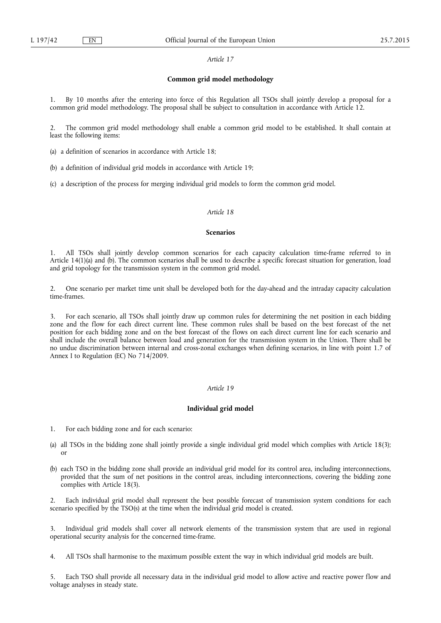## **Common grid model methodology**

1. By 10 months after the entering into force of this Regulation all TSOs shall jointly develop a proposal for a common grid model methodology. The proposal shall be subject to consultation in accordance with Article 12.

2. The common grid model methodology shall enable a common grid model to be established. It shall contain at least the following items:

- (a) a definition of scenarios in accordance with Article 18;
- (b) a definition of individual grid models in accordance with Article 19;
- (c) a description of the process for merging individual grid models to form the common grid model.

## *Article 18*

#### **Scenarios**

1. All TSOs shall jointly develop common scenarios for each capacity calculation time-frame referred to in Article 14(1)(a) and (b). The common scenarios shall be used to describe a specific forecast situation for generation, load and grid topology for the transmission system in the common grid model.

2. One scenario per market time unit shall be developed both for the day-ahead and the intraday capacity calculation time-frames.

3. For each scenario, all TSOs shall jointly draw up common rules for determining the net position in each bidding zone and the flow for each direct current line. These common rules shall be based on the best forecast of the net position for each bidding zone and on the best forecast of the flows on each direct current line for each scenario and shall include the overall balance between load and generation for the transmission system in the Union. There shall be no undue discrimination between internal and cross-zonal exchanges when defining scenarios, in line with point 1.7 of Annex I to Regulation (EC) No 714/2009.

#### *Article 19*

## **Individual grid model**

- 1. For each bidding zone and for each scenario:
- (a) all TSOs in the bidding zone shall jointly provide a single individual grid model which complies with Article 18(3); or
- (b) each TSO in the bidding zone shall provide an individual grid model for its control area, including interconnections, provided that the sum of net positions in the control areas, including interconnections, covering the bidding zone complies with Article 18(3).

2. Each individual grid model shall represent the best possible forecast of transmission system conditions for each scenario specified by the TSO(s) at the time when the individual grid model is created.

3. Individual grid models shall cover all network elements of the transmission system that are used in regional operational security analysis for the concerned time-frame.

4. All TSOs shall harmonise to the maximum possible extent the way in which individual grid models are built.

5. Each TSO shall provide all necessary data in the individual grid model to allow active and reactive power flow and voltage analyses in steady state.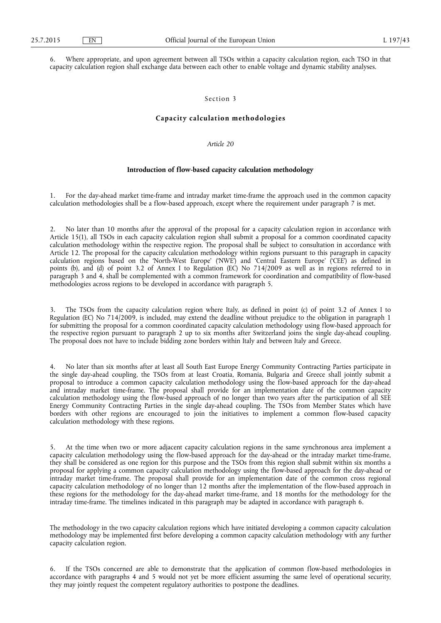6. Where appropriate, and upon agreement between all TSOs within a capacity calculation region, each TSO in that capacity calculation region shall exchange data between each other to enable voltage and dynamic stability analyses.

#### Section 3

#### **Capacity calculation methodologies**

## *Article 20*

## **Introduction of flow-based capacity calculation methodology**

1. For the day-ahead market time-frame and intraday market time-frame the approach used in the common capacity calculation methodologies shall be a flow-based approach, except where the requirement under paragraph 7 is met.

2. No later than 10 months after the approval of the proposal for a capacity calculation region in accordance with Article 15(1), all TSOs in each capacity calculation region shall submit a proposal for a common coordinated capacity calculation methodology within the respective region. The proposal shall be subject to consultation in accordance with Article 12. The proposal for the capacity calculation methodology within regions pursuant to this paragraph in capacity calculation regions based on the 'North-West Europe' ('NWE') and 'Central Eastern Europe' ('CEE') as defined in points (b), and (d) of point 3.2 of Annex I to Regulation (EC) No 714/2009 as well as in regions referred to in paragraph 3 and 4, shall be complemented with a common framework for coordination and compatibility of flow-based methodologies across regions to be developed in accordance with paragraph 5.

The TSOs from the capacity calculation region where Italy, as defined in point (c) of point 3.2 of Annex I to Regulation (EC) No 714/2009, is included, may extend the deadline without prejudice to the obligation in paragraph 1 for submitting the proposal for a common coordinated capacity calculation methodology using flow-based approach for the respective region pursuant to paragraph 2 up to six months after Switzerland joins the single day-ahead coupling. The proposal does not have to include bidding zone borders within Italy and between Italy and Greece.

4. No later than six months after at least all South East Europe Energy Community Contracting Parties participate in the single day-ahead coupling, the TSOs from at least Croatia, Romania, Bulgaria and Greece shall jointly submit a proposal to introduce a common capacity calculation methodology using the flow-based approach for the day-ahead and intraday market time-frame. The proposal shall provide for an implementation date of the common capacity calculation methodology using the flow-based approach of no longer than two years after the participation of all SEE Energy Community Contracting Parties in the single day-ahead coupling. The TSOs from Member States which have borders with other regions are encouraged to join the initiatives to implement a common flow-based capacity calculation methodology with these regions.

5. At the time when two or more adjacent capacity calculation regions in the same synchronous area implement a capacity calculation methodology using the flow-based approach for the day-ahead or the intraday market time-frame, they shall be considered as one region for this purpose and the TSOs from this region shall submit within six months a proposal for applying a common capacity calculation methodology using the flow-based approach for the day-ahead or intraday market time-frame. The proposal shall provide for an implementation date of the common cross regional capacity calculation methodology of no longer than 12 months after the implementation of the flow-based approach in these regions for the methodology for the day-ahead market time-frame, and 18 months for the methodology for the intraday time-frame. The timelines indicated in this paragraph may be adapted in accordance with paragraph 6.

The methodology in the two capacity calculation regions which have initiated developing a common capacity calculation methodology may be implemented first before developing a common capacity calculation methodology with any further capacity calculation region.

6. If the TSOs concerned are able to demonstrate that the application of common flow-based methodologies in accordance with paragraphs 4 and 5 would not yet be more efficient assuming the same level of operational security, they may jointly request the competent regulatory authorities to postpone the deadlines.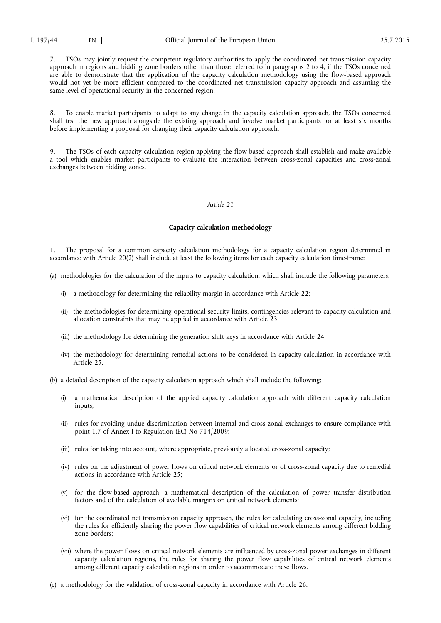7. TSOs may jointly request the competent regulatory authorities to apply the coordinated net transmission capacity approach in regions and bidding zone borders other than those referred to in paragraphs 2 to 4, if the TSOs concerned are able to demonstrate that the application of the capacity calculation methodology using the flow-based approach would not yet be more efficient compared to the coordinated net transmission capacity approach and assuming the same level of operational security in the concerned region.

8. To enable market participants to adapt to any change in the capacity calculation approach, the TSOs concerned shall test the new approach alongside the existing approach and involve market participants for at least six months before implementing a proposal for changing their capacity calculation approach.

9. The TSOs of each capacity calculation region applying the flow-based approach shall establish and make available a tool which enables market participants to evaluate the interaction between cross-zonal capacities and cross-zonal exchanges between bidding zones.

#### *Article 21*

#### **Capacity calculation methodology**

1. The proposal for a common capacity calculation methodology for a capacity calculation region determined in accordance with Article 20(2) shall include at least the following items for each capacity calculation time-frame:

- (a) methodologies for the calculation of the inputs to capacity calculation, which shall include the following parameters:
	- (i) a methodology for determining the reliability margin in accordance with Article 22;
	- (ii) the methodologies for determining operational security limits, contingencies relevant to capacity calculation and allocation constraints that may be applied in accordance with Article 23;
	- (iii) the methodology for determining the generation shift keys in accordance with Article 24;
	- (iv) the methodology for determining remedial actions to be considered in capacity calculation in accordance with Article 25.
- (b) a detailed description of the capacity calculation approach which shall include the following:
	- (i) a mathematical description of the applied capacity calculation approach with different capacity calculation inputs;
	- (ii) rules for avoiding undue discrimination between internal and cross-zonal exchanges to ensure compliance with point 1.7 of Annex I to Regulation (EC) No 714/2009;
	- (iii) rules for taking into account, where appropriate, previously allocated cross-zonal capacity;
	- (iv) rules on the adjustment of power flows on critical network elements or of cross-zonal capacity due to remedial actions in accordance with Article 25;
	- (v) for the flow-based approach, a mathematical description of the calculation of power transfer distribution factors and of the calculation of available margins on critical network elements;
	- (vi) for the coordinated net transmission capacity approach, the rules for calculating cross-zonal capacity, including the rules for efficiently sharing the power flow capabilities of critical network elements among different bidding zone borders;
	- (vii) where the power flows on critical network elements are influenced by cross-zonal power exchanges in different capacity calculation regions, the rules for sharing the power flow capabilities of critical network elements among different capacity calculation regions in order to accommodate these flows.
- (c) a methodology for the validation of cross-zonal capacity in accordance with Article 26.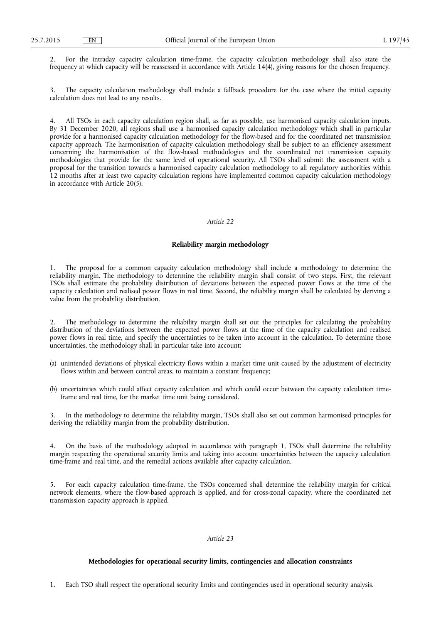2. For the intraday capacity calculation time-frame, the capacity calculation methodology shall also state the frequency at which capacity will be reassessed in accordance with Article 14(4), giving reasons for the chosen frequency.

3. The capacity calculation methodology shall include a fallback procedure for the case where the initial capacity calculation does not lead to any results.

4. All TSOs in each capacity calculation region shall, as far as possible, use harmonised capacity calculation inputs. By 31 December 2020, all regions shall use a harmonised capacity calculation methodology which shall in particular provide for a harmonised capacity calculation methodology for the flow-based and for the coordinated net transmission capacity approach. The harmonisation of capacity calculation methodology shall be subject to an efficiency assessment concerning the harmonisation of the flow-based methodologies and the coordinated net transmission capacity methodologies that provide for the same level of operational security. All TSOs shall submit the assessment with a proposal for the transition towards a harmonised capacity calculation methodology to all regulatory authorities within 12 months after at least two capacity calculation regions have implemented common capacity calculation methodology in accordance with Article 20(5).

#### *Article 22*

#### **Reliability margin methodology**

1. The proposal for a common capacity calculation methodology shall include a methodology to determine the reliability margin. The methodology to determine the reliability margin shall consist of two steps. First, the relevant TSOs shall estimate the probability distribution of deviations between the expected power flows at the time of the capacity calculation and realised power flows in real time. Second, the reliability margin shall be calculated by deriving a value from the probability distribution.

2. The methodology to determine the reliability margin shall set out the principles for calculating the probability distribution of the deviations between the expected power flows at the time of the capacity calculation and realised power flows in real time, and specify the uncertainties to be taken into account in the calculation. To determine those uncertainties, the methodology shall in particular take into account:

- (a) unintended deviations of physical electricity flows within a market time unit caused by the adjustment of electricity flows within and between control areas, to maintain a constant frequency;
- (b) uncertainties which could affect capacity calculation and which could occur between the capacity calculation timeframe and real time, for the market time unit being considered.

In the methodology to determine the reliability margin, TSOs shall also set out common harmonised principles for deriving the reliability margin from the probability distribution.

4. On the basis of the methodology adopted in accordance with paragraph 1, TSOs shall determine the reliability margin respecting the operational security limits and taking into account uncertainties between the capacity calculation time-frame and real time, and the remedial actions available after capacity calculation.

5. For each capacity calculation time-frame, the TSOs concerned shall determine the reliability margin for critical network elements, where the flow-based approach is applied, and for cross-zonal capacity, where the coordinated net transmission capacity approach is applied.

# *Article 23*

# **Methodologies for operational security limits, contingencies and allocation constraints**

1. Each TSO shall respect the operational security limits and contingencies used in operational security analysis.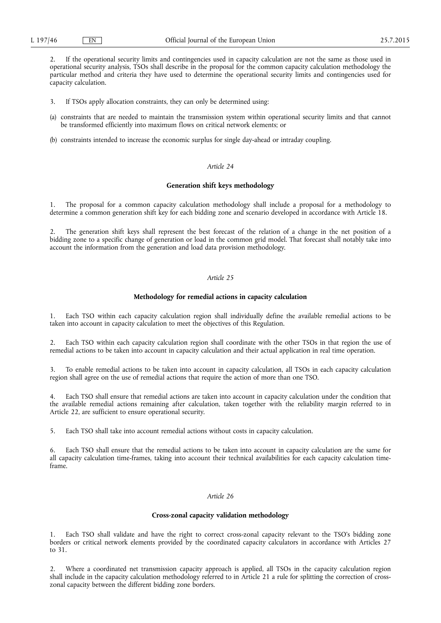2. If the operational security limits and contingencies used in capacity calculation are not the same as those used in operational security analysis, TSOs shall describe in the proposal for the common capacity calculation methodology the particular method and criteria they have used to determine the operational security limits and contingencies used for capacity calculation.

3. If TSOs apply allocation constraints, they can only be determined using:

- (a) constraints that are needed to maintain the transmission system within operational security limits and that cannot be transformed efficiently into maximum flows on critical network elements; or
- (b) constraints intended to increase the economic surplus for single day-ahead or intraday coupling.

# *Article 24*

## **Generation shift keys methodology**

1. The proposal for a common capacity calculation methodology shall include a proposal for a methodology to determine a common generation shift key for each bidding zone and scenario developed in accordance with Article 18.

2. The generation shift keys shall represent the best forecast of the relation of a change in the net position of a bidding zone to a specific change of generation or load in the common grid model. That forecast shall notably take into account the information from the generation and load data provision methodology.

#### *Article 25*

## **Methodology for remedial actions in capacity calculation**

1. Each TSO within each capacity calculation region shall individually define the available remedial actions to be taken into account in capacity calculation to meet the objectives of this Regulation.

Each TSO within each capacity calculation region shall coordinate with the other TSOs in that region the use of remedial actions to be taken into account in capacity calculation and their actual application in real time operation.

3. To enable remedial actions to be taken into account in capacity calculation, all TSOs in each capacity calculation region shall agree on the use of remedial actions that require the action of more than one TSO.

4. Each TSO shall ensure that remedial actions are taken into account in capacity calculation under the condition that the available remedial actions remaining after calculation, taken together with the reliability margin referred to in Article 22, are sufficient to ensure operational security.

5. Each TSO shall take into account remedial actions without costs in capacity calculation.

Each TSO shall ensure that the remedial actions to be taken into account in capacity calculation are the same for all capacity calculation time-frames, taking into account their technical availabilities for each capacity calculation timeframe.

## *Article 26*

## **Cross-zonal capacity validation methodology**

Each TSO shall validate and have the right to correct cross-zonal capacity relevant to the TSO's bidding zone borders or critical network elements provided by the coordinated capacity calculators in accordance with Articles 27 to 31.

2. Where a coordinated net transmission capacity approach is applied, all TSOs in the capacity calculation region shall include in the capacity calculation methodology referred to in Article 21 a rule for splitting the correction of crosszonal capacity between the different bidding zone borders.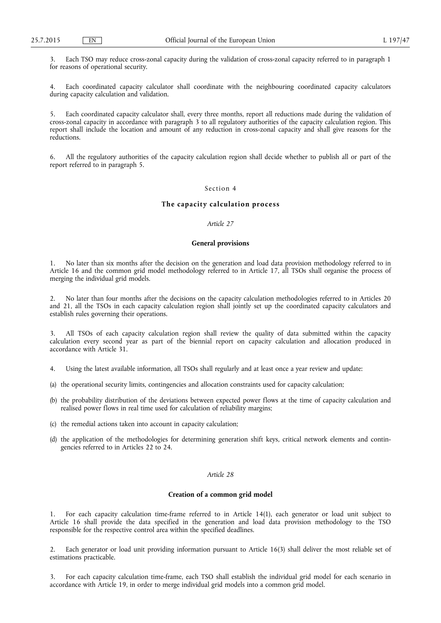3. Each TSO may reduce cross-zonal capacity during the validation of cross-zonal capacity referred to in paragraph 1 for reasons of operational security.

4. Each coordinated capacity calculator shall coordinate with the neighbouring coordinated capacity calculators during capacity calculation and validation.

5. Each coordinated capacity calculator shall, every three months, report all reductions made during the validation of cross-zonal capacity in accordance with paragraph 3 to all regulatory authorities of the capacity calculation region. This report shall include the location and amount of any reduction in cross-zonal capacity and shall give reasons for the reductions.

6. All the regulatory authorities of the capacity calculation region shall decide whether to publish all or part of the report referred to in paragraph 5.

## Section 4

## **The capacity calculation process**

## *Article 27*

## **General provisions**

1. No later than six months after the decision on the generation and load data provision methodology referred to in Article 16 and the common grid model methodology referred to in Article 17, all TSOs shall organise the process of merging the individual grid models.

2. No later than four months after the decisions on the capacity calculation methodologies referred to in Articles 20 and 21, all the TSOs in each capacity calculation region shall jointly set up the coordinated capacity calculators and establish rules governing their operations.

3. All TSOs of each capacity calculation region shall review the quality of data submitted within the capacity calculation every second year as part of the biennial report on capacity calculation and allocation produced in accordance with Article 31.

- 4. Using the latest available information, all TSOs shall regularly and at least once a year review and update:
- (a) the operational security limits, contingencies and allocation constraints used for capacity calculation;
- (b) the probability distribution of the deviations between expected power flows at the time of capacity calculation and realised power flows in real time used for calculation of reliability margins;
- (c) the remedial actions taken into account in capacity calculation;
- (d) the application of the methodologies for determining generation shift keys, critical network elements and contingencies referred to in Articles 22 to 24.

# *Article 28*

## **Creation of a common grid model**

1. For each capacity calculation time-frame referred to in Article 14(1), each generator or load unit subject to Article 16 shall provide the data specified in the generation and load data provision methodology to the TSO responsible for the respective control area within the specified deadlines.

2. Each generator or load unit providing information pursuant to Article 16(3) shall deliver the most reliable set of estimations practicable.

3. For each capacity calculation time-frame, each TSO shall establish the individual grid model for each scenario in accordance with Article 19, in order to merge individual grid models into a common grid model.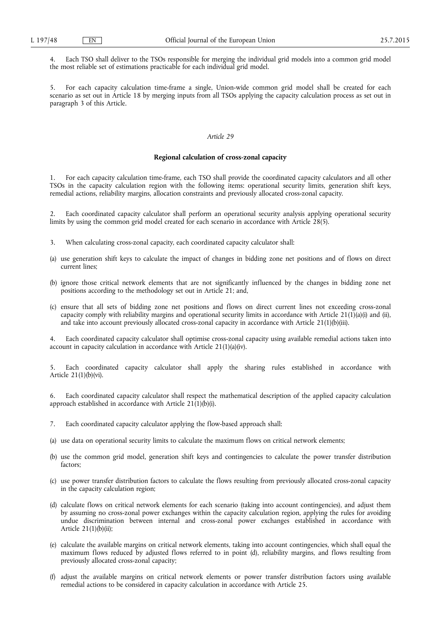4. Each TSO shall deliver to the TSOs responsible for merging the individual grid models into a common grid model the most reliable set of estimations practicable for each individual grid model.

5. For each capacity calculation time-frame a single, Union-wide common grid model shall be created for each scenario as set out in Article 18 by merging inputs from all TSOs applying the capacity calculation process as set out in paragraph 3 of this Article.

## *Article 29*

## **Regional calculation of cross-zonal capacity**

1. For each capacity calculation time-frame, each TSO shall provide the coordinated capacity calculators and all other TSOs in the capacity calculation region with the following items: operational security limits, generation shift keys, remedial actions, reliability margins, allocation constraints and previously allocated cross-zonal capacity.

2. Each coordinated capacity calculator shall perform an operational security analysis applying operational security limits by using the common grid model created for each scenario in accordance with Article 28(5).

- 3. When calculating cross-zonal capacity, each coordinated capacity calculator shall:
- (a) use generation shift keys to calculate the impact of changes in bidding zone net positions and of flows on direct current lines;
- (b) ignore those critical network elements that are not significantly influenced by the changes in bidding zone net positions according to the methodology set out in Article 21; and,
- (c) ensure that all sets of bidding zone net positions and flows on direct current lines not exceeding cross-zonal capacity comply with reliability margins and operational security limits in accordance with Article  $21(1)(a)(i)$  and (ii), and take into account previously allocated cross-zonal capacity in accordance with Article 21(1)(b)(iii).

4. Each coordinated capacity calculator shall optimise cross-zonal capacity using available remedial actions taken into account in capacity calculation in accordance with Article 21(1)(a)(iv).

5. Each coordinated capacity calculator shall apply the sharing rules established in accordance with Article 21(1)(b)(vi).

6. Each coordinated capacity calculator shall respect the mathematical description of the applied capacity calculation approach established in accordance with Article 21(1)(b)(i).

- 7. Each coordinated capacity calculator applying the flow-based approach shall:
- (a) use data on operational security limits to calculate the maximum flows on critical network elements;
- (b) use the common grid model, generation shift keys and contingencies to calculate the power transfer distribution factors;
- (c) use power transfer distribution factors to calculate the flows resulting from previously allocated cross-zonal capacity in the capacity calculation region;
- (d) calculate flows on critical network elements for each scenario (taking into account contingencies), and adjust them by assuming no cross-zonal power exchanges within the capacity calculation region, applying the rules for avoiding undue discrimination between internal and cross-zonal power exchanges established in accordance with Article 21(1)(b)(ii);
- (e) calculate the available margins on critical network elements, taking into account contingencies, which shall equal the maximum flows reduced by adjusted flows referred to in point (d), reliability margins, and flows resulting from previously allocated cross-zonal capacity;
- (f) adjust the available margins on critical network elements or power transfer distribution factors using available remedial actions to be considered in capacity calculation in accordance with Article 25.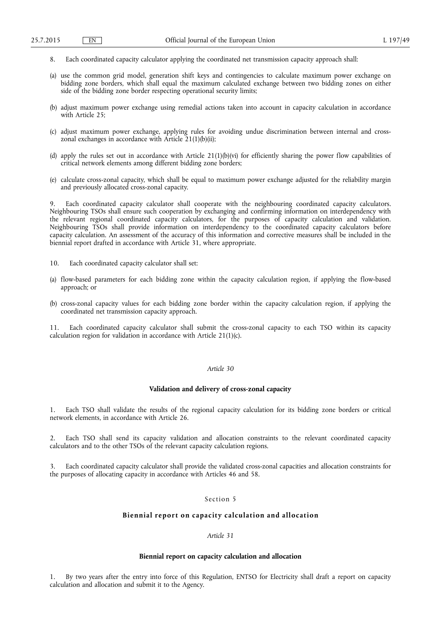- 8. Each coordinated capacity calculator applying the coordinated net transmission capacity approach shall:
- (a) use the common grid model, generation shift keys and contingencies to calculate maximum power exchange on bidding zone borders, which shall equal the maximum calculated exchange between two bidding zones on either side of the bidding zone border respecting operational security limits;
- (b) adjust maximum power exchange using remedial actions taken into account in capacity calculation in accordance with Article 25;
- (c) adjust maximum power exchange, applying rules for avoiding undue discrimination between internal and crosszonal exchanges in accordance with Article 21(1)(b)(ii);
- (d) apply the rules set out in accordance with Article 21(1)(b)(vi) for efficiently sharing the power flow capabilities of critical network elements among different bidding zone borders;
- (e) calculate cross-zonal capacity, which shall be equal to maximum power exchange adjusted for the reliability margin and previously allocated cross-zonal capacity.

Each coordinated capacity calculator shall cooperate with the neighbouring coordinated capacity calculators. Neighbouring TSOs shall ensure such cooperation by exchanging and confirming information on interdependency with the relevant regional coordinated capacity calculators, for the purposes of capacity calculation and validation. Neighbouring TSOs shall provide information on interdependency to the coordinated capacity calculators before capacity calculation. An assessment of the accuracy of this information and corrective measures shall be included in the biennial report drafted in accordance with Article 31, where appropriate.

- 10. Each coordinated capacity calculator shall set:
- (a) flow-based parameters for each bidding zone within the capacity calculation region, if applying the flow-based approach; or
- (b) cross-zonal capacity values for each bidding zone border within the capacity calculation region, if applying the coordinated net transmission capacity approach.

Each coordinated capacity calculator shall submit the cross-zonal capacity to each TSO within its capacity calculation region for validation in accordance with Article 21(1)(c).

# *Article 30*

## **Validation and delivery of cross-zonal capacity**

1. Each TSO shall validate the results of the regional capacity calculation for its bidding zone borders or critical network elements, in accordance with Article 26.

2. Each TSO shall send its capacity validation and allocation constraints to the relevant coordinated capacity calculators and to the other TSOs of the relevant capacity calculation regions.

3. Each coordinated capacity calculator shall provide the validated cross-zonal capacities and allocation constraints for the purposes of allocating capacity in accordance with Articles 46 and 58.

# Section 5

## **Biennial report on capacity calculation and allocation**

## *Article 31*

#### **Biennial report on capacity calculation and allocation**

1. By two years after the entry into force of this Regulation, ENTSO for Electricity shall draft a report on capacity calculation and allocation and submit it to the Agency.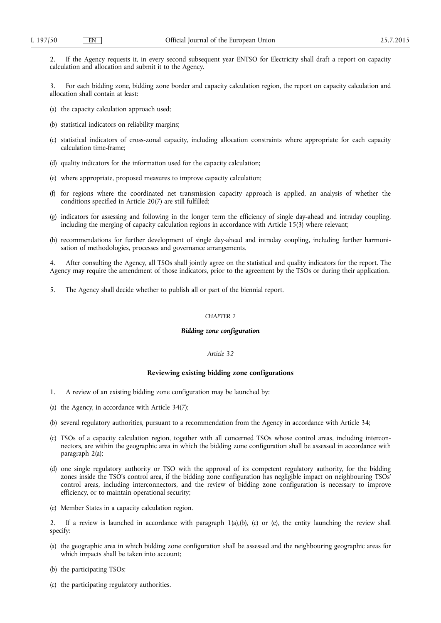2. If the Agency requests it, in every second subsequent year ENTSO for Electricity shall draft a report on capacity calculation and allocation and submit it to the Agency.

For each bidding zone, bidding zone border and capacity calculation region, the report on capacity calculation and allocation shall contain at least:

- (a) the capacity calculation approach used;
- (b) statistical indicators on reliability margins;
- (c) statistical indicators of cross-zonal capacity, including allocation constraints where appropriate for each capacity calculation time-frame;
- (d) quality indicators for the information used for the capacity calculation;
- (e) where appropriate, proposed measures to improve capacity calculation;
- (f) for regions where the coordinated net transmission capacity approach is applied, an analysis of whether the conditions specified in Article 20(7) are still fulfilled;
- (g) indicators for assessing and following in the longer term the efficiency of single day-ahead and intraday coupling, including the merging of capacity calculation regions in accordance with Article 15(3) where relevant;
- (h) recommendations for further development of single day-ahead and intraday coupling, including further harmonisation of methodologies, processes and governance arrangements.

4. After consulting the Agency, all TSOs shall jointly agree on the statistical and quality indicators for the report. The Agency may require the amendment of those indicators, prior to the agreement by the TSOs or during their application.

5. The Agency shall decide whether to publish all or part of the biennial report.

## *CHAPTER 2*

## *Bidding zone configuration*

## *Article 32*

#### **Reviewing existing bidding zone configurations**

- A review of an existing bidding zone configuration may be launched by:
- (a) the Agency, in accordance with Article 34(7);
- (b) several regulatory authorities, pursuant to a recommendation from the Agency in accordance with Article 34;
- (c) TSOs of a capacity calculation region, together with all concerned TSOs whose control areas, including interconnectors, are within the geographic area in which the bidding zone configuration shall be assessed in accordance with paragraph 2(a);
- (d) one single regulatory authority or TSO with the approval of its competent regulatory authority, for the bidding zones inside the TSO's control area, if the bidding zone configuration has negligible impact on neighbouring TSOs' control areas, including interconnectors, and the review of bidding zone configuration is necessary to improve efficiency, or to maintain operational security;
- (e) Member States in a capacity calculation region.

2. If a review is launched in accordance with paragraph  $1(a)$ , (b), (c) or (e), the entity launching the review shall specify:

- (a) the geographic area in which bidding zone configuration shall be assessed and the neighbouring geographic areas for which impacts shall be taken into account;
- (b) the participating TSOs;
- (c) the participating regulatory authorities.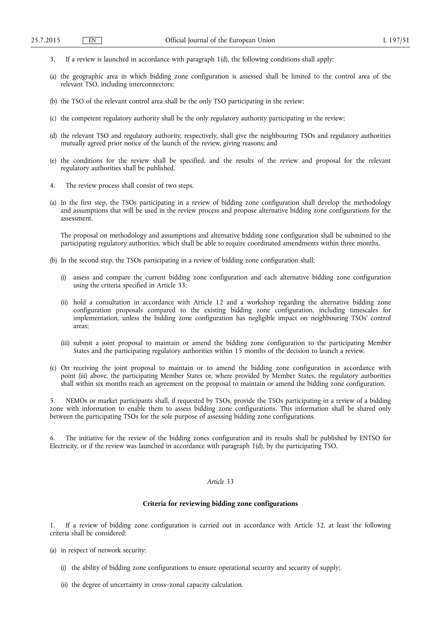- 3. If a review is launched in accordance with paragraph 1(d), the following conditions shall apply:
- (a) the geographic area in which bidding zone configuration is assessed shall be limited to the control area of the relevant TSO, including interconnectors;
- (b) the TSO of the relevant control area shall be the only TSO participating in the review;
- (c) the competent regulatory authority shall be the only regulatory authority participating in the review;
- (d) the relevant TSO and regulatory authority, respectively, shall give the neighbouring TSOs and regulatory authorities mutually agreed prior notice of the launch of the review, giving reasons; and
- (e) the conditions for the review shall be specified, and the results of the review and proposal for the relevant regulatory authorities shall be published.
- 4. The review process shall consist of two steps.
- (a) In the first step, the TSOs participating in a review of bidding zone configuration shall develop the methodology and assumptions that will be used in the review process and propose alternative bidding zone configurations for the assessment.

The proposal on methodology and assumptions and alternative bidding zone configuration shall be submitted to the participating regulatory authorities, which shall be able to require coordinated amendments within three months.

- (b) In the second step, the TSOs participating in a review of bidding zone configuration shall:
	- (i) assess and compare the current bidding zone configuration and each alternative bidding zone configuration using the criteria specified in Article 33;
	- (ii) hold a consultation in accordance with Article 12 and a workshop regarding the alternative bidding zone configuration proposals compared to the existing bidding zone configuration, including timescales for implementation, unless the bidding zone configuration has negligible impact on neighbouring TSOs' control areas;
	- (iii) submit a joint proposal to maintain or amend the bidding zone configuration to the participating Member States and the participating regulatory authorities within 15 months of the decision to launch a review.
- (c) On receiving the joint proposal to maintain or to amend the bidding zone configuration in accordance with point (iii) above, the participating Member States or, where provided by Member States, the regulatory authorities shall within six months reach an agreement on the proposal to maintain or amend the bidding zone configuration.

5. NEMOs or market participants shall, if requested by TSOs, provide the TSOs participating in a review of a bidding zone with information to enable them to assess bidding zone configurations. This information shall be shared only between the participating TSOs for the sole purpose of assessing bidding zone configurations.

6. The initiative for the review of the bidding zones configuration and its results shall be published by ENTSO for Electricity, or if the review was launched in accordance with paragraph 1(d), by the participating TSO.

# *Article 33*

# **Criteria for reviewing bidding zone configurations**

1. If a review of bidding zone configuration is carried out in accordance with Article 32, at least the following criteria shall be considered:

- (a) in respect of network security:
	- (i) the ability of bidding zone configurations to ensure operational security and security of supply;
	- (ii) the degree of uncertainty in cross–zonal capacity calculation.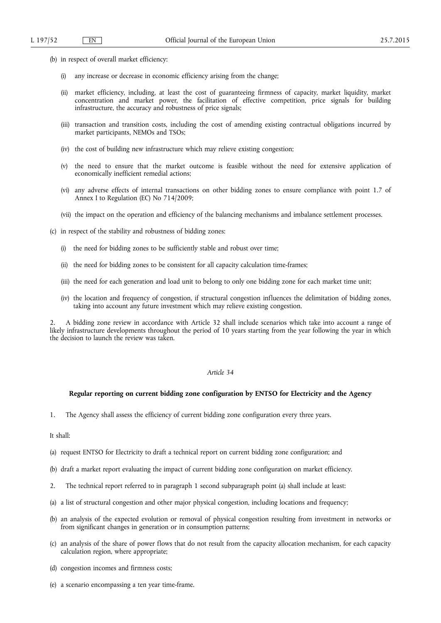- (b) in respect of overall market efficiency:
	- (i) any increase or decrease in economic efficiency arising from the change;
	- (ii) market efficiency, including, at least the cost of guaranteeing firmness of capacity, market liquidity, market concentration and market power, the facilitation of effective competition, price signals for building infrastructure, the accuracy and robustness of price signals;
	- (iii) transaction and transition costs, including the cost of amending existing contractual obligations incurred by market participants, NEMOs and TSOs;
	- (iv) the cost of building new infrastructure which may relieve existing congestion;
	- (v) the need to ensure that the market outcome is feasible without the need for extensive application of economically inefficient remedial actions;
	- (vi) any adverse effects of internal transactions on other bidding zones to ensure compliance with point 1.7 of Annex I to Regulation (EC) No 714/2009;
	- (vii) the impact on the operation and efficiency of the balancing mechanisms and imbalance settlement processes.
- (c) in respect of the stability and robustness of bidding zones:
	- (i) the need for bidding zones to be sufficiently stable and robust over time;
	- (ii) the need for bidding zones to be consistent for all capacity calculation time-frames;
	- (iii) the need for each generation and load unit to belong to only one bidding zone for each market time unit;
	- (iv) the location and frequency of congestion, if structural congestion influences the delimitation of bidding zones, taking into account any future investment which may relieve existing congestion.

2. A bidding zone review in accordance with Article 32 shall include scenarios which take into account a range of likely infrastructure developments throughout the period of 10 years starting from the year following the year in which the decision to launch the review was taken.

## *Article 34*

# **Regular reporting on current bidding zone configuration by ENTSO for Electricity and the Agency**

1. The Agency shall assess the efficiency of current bidding zone configuration every three years.

It shall:

- (a) request ENTSO for Electricity to draft a technical report on current bidding zone configuration; and
- (b) draft a market report evaluating the impact of current bidding zone configuration on market efficiency.
- 2. The technical report referred to in paragraph 1 second subparagraph point (a) shall include at least:
- (a) a list of structural congestion and other major physical congestion, including locations and frequency;
- (b) an analysis of the expected evolution or removal of physical congestion resulting from investment in networks or from significant changes in generation or in consumption patterns;
- (c) an analysis of the share of power flows that do not result from the capacity allocation mechanism, for each capacity calculation region, where appropriate;
- (d) congestion incomes and firmness costs;
- (e) a scenario encompassing a ten year time-frame.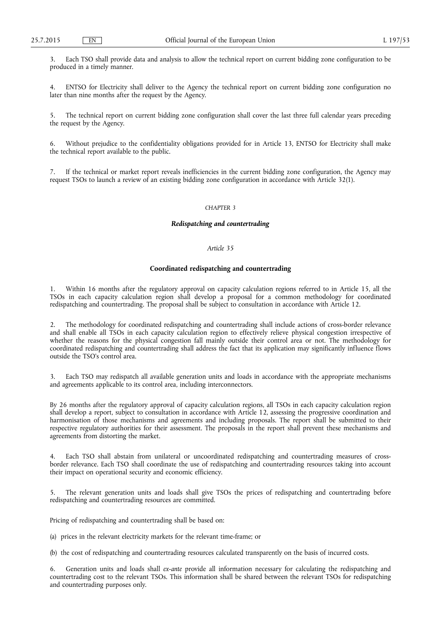3. Each TSO shall provide data and analysis to allow the technical report on current bidding zone configuration to be produced in a timely manner.

4. ENTSO for Electricity shall deliver to the Agency the technical report on current bidding zone configuration no later than nine months after the request by the Agency.

The technical report on current bidding zone configuration shall cover the last three full calendar years preceding the request by the Agency.

6. Without prejudice to the confidentiality obligations provided for in Article 13, ENTSO for Electricity shall make the technical report available to the public.

7. If the technical or market report reveals inefficiencies in the current bidding zone configuration, the Agency may request TSOs to launch a review of an existing bidding zone configuration in accordance with Article 32(1).

## *CHAPTER 3*

## *Redispatching and countertrading*

## *Article 35*

## **Coordinated redispatching and countertrading**

Within 16 months after the regulatory approval on capacity calculation regions referred to in Article 15, all the TSOs in each capacity calculation region shall develop a proposal for a common methodology for coordinated redispatching and countertrading. The proposal shall be subject to consultation in accordance with Article 12.

2. The methodology for coordinated redispatching and countertrading shall include actions of cross-border relevance and shall enable all TSOs in each capacity calculation region to effectively relieve physical congestion irrespective of whether the reasons for the physical congestion fall mainly outside their control area or not. The methodology for coordinated redispatching and countertrading shall address the fact that its application may significantly influence flows outside the TSO's control area.

Each TSO may redispatch all available generation units and loads in accordance with the appropriate mechanisms and agreements applicable to its control area, including interconnectors.

By 26 months after the regulatory approval of capacity calculation regions, all TSOs in each capacity calculation region shall develop a report, subject to consultation in accordance with Article 12, assessing the progressive coordination and harmonisation of those mechanisms and agreements and including proposals. The report shall be submitted to their respective regulatory authorities for their assessment. The proposals in the report shall prevent these mechanisms and agreements from distorting the market.

4. Each TSO shall abstain from unilateral or uncoordinated redispatching and countertrading measures of crossborder relevance. Each TSO shall coordinate the use of redispatching and countertrading resources taking into account their impact on operational security and economic efficiency.

5. The relevant generation units and loads shall give TSOs the prices of redispatching and countertrading before redispatching and countertrading resources are committed.

Pricing of redispatching and countertrading shall be based on:

(a) prices in the relevant electricity markets for the relevant time-frame; or

(b) the cost of redispatching and countertrading resources calculated transparently on the basis of incurred costs.

6. Generation units and loads shall *ex-ante* provide all information necessary for calculating the redispatching and countertrading cost to the relevant TSOs. This information shall be shared between the relevant TSOs for redispatching and countertrading purposes only.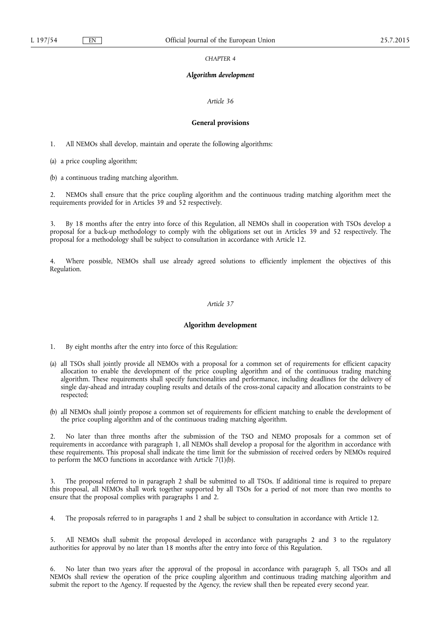*CHAPTER 4* 

# *Algorithm development*

## *Article 36*

#### **General provisions**

1. All NEMOs shall develop, maintain and operate the following algorithms:

(a) a price coupling algorithm;

(b) a continuous trading matching algorithm.

NEMOs shall ensure that the price coupling algorithm and the continuous trading matching algorithm meet the requirements provided for in Articles 39 and 52 respectively.

3. By 18 months after the entry into force of this Regulation, all NEMOs shall in cooperation with TSOs develop a proposal for a back-up methodology to comply with the obligations set out in Articles 39 and 52 respectively. The proposal for a methodology shall be subject to consultation in accordance with Article 12.

Where possible, NEMOs shall use already agreed solutions to efficiently implement the objectives of this Regulation.

# *Article 37*

#### **Algorithm development**

1. By eight months after the entry into force of this Regulation:

- (a) all TSOs shall jointly provide all NEMOs with a proposal for a common set of requirements for efficient capacity allocation to enable the development of the price coupling algorithm and of the continuous trading matching algorithm. These requirements shall specify functionalities and performance, including deadlines for the delivery of single day-ahead and intraday coupling results and details of the cross-zonal capacity and allocation constraints to be respected;
- (b) all NEMOs shall jointly propose a common set of requirements for efficient matching to enable the development of the price coupling algorithm and of the continuous trading matching algorithm.

2. No later than three months after the submission of the TSO and NEMO proposals for a common set of requirements in accordance with paragraph 1, all NEMOs shall develop a proposal for the algorithm in accordance with these requirements. This proposal shall indicate the time limit for the submission of received orders by NEMOs required to perform the MCO functions in accordance with Article 7(1)(b).

3. The proposal referred to in paragraph 2 shall be submitted to all TSOs. If additional time is required to prepare this proposal, all NEMOs shall work together supported by all TSOs for a period of not more than two months to ensure that the proposal complies with paragraphs 1 and 2.

4. The proposals referred to in paragraphs 1 and 2 shall be subject to consultation in accordance with Article 12.

5. All NEMOs shall submit the proposal developed in accordance with paragraphs 2 and 3 to the regulatory authorities for approval by no later than 18 months after the entry into force of this Regulation.

6. No later than two years after the approval of the proposal in accordance with paragraph 5, all TSOs and all NEMOs shall review the operation of the price coupling algorithm and continuous trading matching algorithm and submit the report to the Agency. If requested by the Agency, the review shall then be repeated every second year.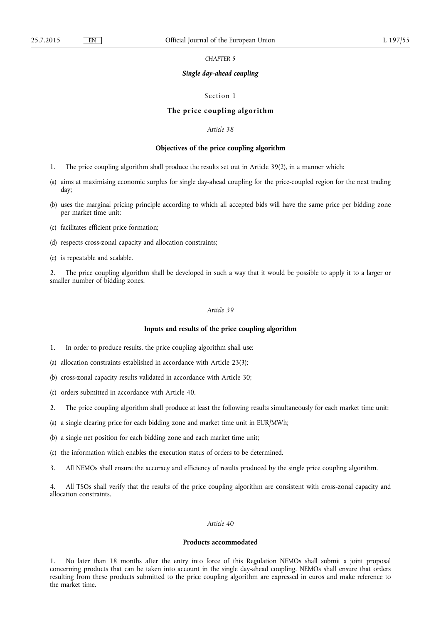#### *CHAPTER 5*

#### *Single day-ahead coupling*

## Section 1

## **The p rice coupling algorithm**

# *Article 38*

#### **Objectives of the price coupling algorithm**

- 1. The price coupling algorithm shall produce the results set out in Article 39(2), in a manner which:
- (a) aims at maximising economic surplus for single day-ahead coupling for the price-coupled region for the next trading day;
- (b) uses the marginal pricing principle according to which all accepted bids will have the same price per bidding zone per market time unit;
- (c) facilitates efficient price formation;
- (d) respects cross-zonal capacity and allocation constraints;
- (e) is repeatable and scalable.

2. The price coupling algorithm shall be developed in such a way that it would be possible to apply it to a larger or smaller number of bidding zones.

#### *Article 39*

# **Inputs and results of the price coupling algorithm**

- 1. In order to produce results, the price coupling algorithm shall use:
- (a) allocation constraints established in accordance with Article 23(3);
- (b) cross-zonal capacity results validated in accordance with Article 30;
- (c) orders submitted in accordance with Article 40.
- 2. The price coupling algorithm shall produce at least the following results simultaneously for each market time unit:
- (a) a single clearing price for each bidding zone and market time unit in EUR/MWh;
- (b) a single net position for each bidding zone and each market time unit;
- (c) the information which enables the execution status of orders to be determined.
- 3. All NEMOs shall ensure the accuracy and efficiency of results produced by the single price coupling algorithm.

4. All TSOs shall verify that the results of the price coupling algorithm are consistent with cross-zonal capacity and allocation constraints.

# *Article 40*

#### **Products accommodated**

1. No later than 18 months after the entry into force of this Regulation NEMOs shall submit a joint proposal concerning products that can be taken into account in the single day-ahead coupling. NEMOs shall ensure that orders resulting from these products submitted to the price coupling algorithm are expressed in euros and make reference to the market time.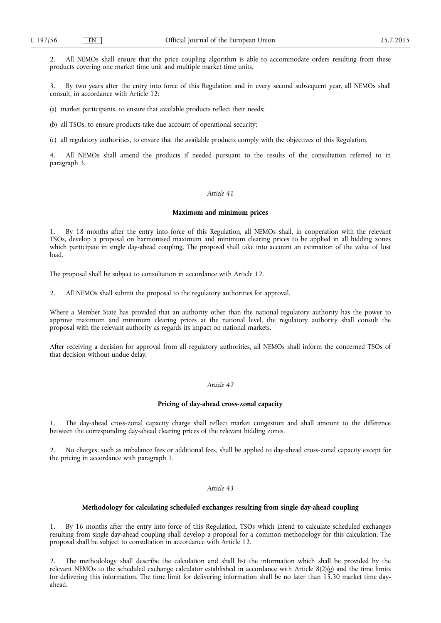2. All NEMOs shall ensure that the price coupling algorithm is able to accommodate orders resulting from these products covering one market time unit and multiple market time units.

3. By two years after the entry into force of this Regulation and in every second subsequent year, all NEMOs shall consult, in accordance with Article 12:

(a) market participants, to ensure that available products reflect their needs;

(b) all TSOs, to ensure products take due account of operational security;

(c) all regulatory authorities, to ensure that the available products comply with the objectives of this Regulation.

All NEMOs shall amend the products if needed pursuant to the results of the consultation referred to in paragraph 3.

## *Article 41*

## **Maximum and minimum prices**

1. By 18 months after the entry into force of this Regulation, all NEMOs shall, in cooperation with the relevant TSOs, develop a proposal on harmonised maximum and minimum clearing prices to be applied in all bidding zones which participate in single day-ahead coupling. The proposal shall take into account an estimation of the value of lost load.

The proposal shall be subject to consultation in accordance with Article 12.

2. All NEMOs shall submit the proposal to the regulatory authorities for approval.

Where a Member State has provided that an authority other than the national regulatory authority has the power to approve maximum and minimum clearing prices at the national level, the regulatory authority shall consult the proposal with the relevant authority as regards its impact on national markets.

After receiving a decision for approval from all regulatory authorities, all NEMOs shall inform the concerned TSOs of that decision without undue delay.

## *Article 42*

## **Pricing of day-ahead cross-zonal capacity**

1. The day-ahead cross-zonal capacity charge shall reflect market congestion and shall amount to the difference between the corresponding day-ahead clearing prices of the relevant bidding zones.

2. No charges, such as imbalance fees or additional fees, shall be applied to day-ahead cross-zonal capacity except for the pricing in accordance with paragraph 1.

#### *Article 43*

# **Methodology for calculating scheduled exchanges resulting from single day-ahead coupling**

1. By 16 months after the entry into force of this Regulation, TSOs which intend to calculate scheduled exchanges resulting from single day-ahead coupling shall develop a proposal for a common methodology for this calculation. The proposal shall be subject to consultation in accordance with Article 12.

2. The methodology shall describe the calculation and shall list the information which shall be provided by the relevant NEMOs to the scheduled exchange calculator established in accordance with Article 8(2)(g) and the time limits for delivering this information. The time limit for delivering information shall be no later than 15.30 market time dayahead.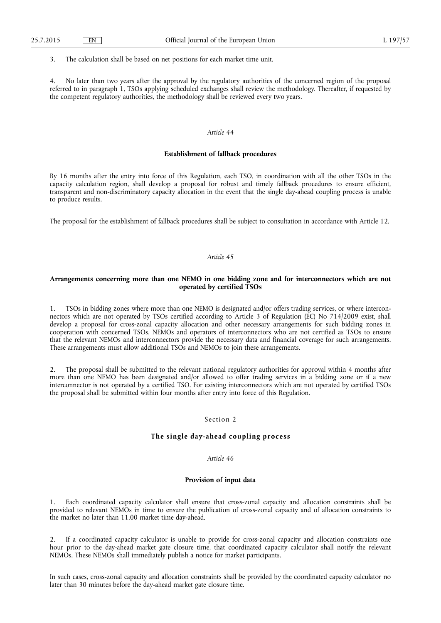3. The calculation shall be based on net positions for each market time unit.

4. No later than two years after the approval by the regulatory authorities of the concerned region of the proposal referred to in paragraph 1, TSOs applying scheduled exchanges shall review the methodology. Thereafter, if requested by the competent regulatory authorities, the methodology shall be reviewed every two years.

## *Article 44*

## **Establishment of fallback procedures**

By 16 months after the entry into force of this Regulation, each TSO, in coordination with all the other TSOs in the capacity calculation region, shall develop a proposal for robust and timely fallback procedures to ensure efficient, transparent and non-discriminatory capacity allocation in the event that the single day-ahead coupling process is unable to produce results.

The proposal for the establishment of fallback procedures shall be subject to consultation in accordance with Article 12.

#### *Article 45*

# **Arrangements concerning more than one NEMO in one bidding zone and for interconnectors which are not operated by certified TSOs**

1. TSOs in bidding zones where more than one NEMO is designated and/or offers trading services, or where interconnectors which are not operated by TSOs certified according to Article 3 of Regulation (EC) No 714/2009 exist, shall develop a proposal for cross-zonal capacity allocation and other necessary arrangements for such bidding zones in cooperation with concerned TSOs, NEMOs and operators of interconnectors who are not certified as TSOs to ensure that the relevant NEMOs and interconnectors provide the necessary data and financial coverage for such arrangements. These arrangements must allow additional TSOs and NEMOs to join these arrangements.

2. The proposal shall be submitted to the relevant national regulatory authorities for approval within 4 months after more than one NEMO has been designated and/or allowed to offer trading services in a bidding zone or if a new interconnector is not operated by a certified TSO. For existing interconnectors which are not operated by certified TSOs the proposal shall be submitted within four months after entry into force of this Regulation.

## Section 2

# **The single day-ahead coupling process**

## *Article 46*

# **Provision of input data**

1. Each coordinated capacity calculator shall ensure that cross-zonal capacity and allocation constraints shall be provided to relevant NEMOs in time to ensure the publication of cross-zonal capacity and of allocation constraints to the market no later than 11.00 market time day-ahead.

2. If a coordinated capacity calculator is unable to provide for cross-zonal capacity and allocation constraints one hour prior to the day-ahead market gate closure time, that coordinated capacity calculator shall notify the relevant NEMOs. These NEMOs shall immediately publish a notice for market participants.

In such cases, cross-zonal capacity and allocation constraints shall be provided by the coordinated capacity calculator no later than 30 minutes before the day-ahead market gate closure time.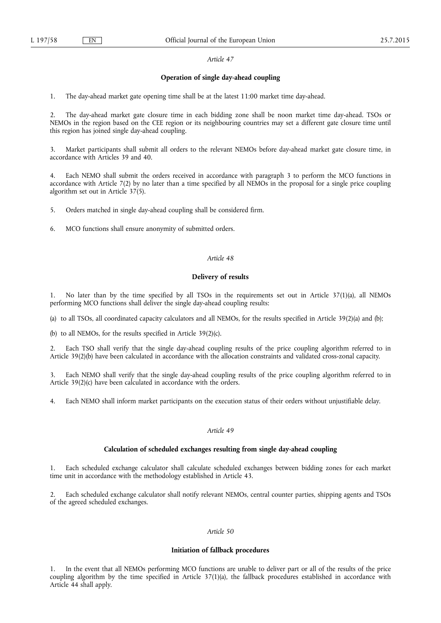## **Operation of single day-ahead coupling**

1. The day-ahead market gate opening time shall be at the latest 11:00 market time day-ahead.

2. The day-ahead market gate closure time in each bidding zone shall be noon market time day-ahead. TSOs or NEMOs in the region based on the CEE region or its neighbouring countries may set a different gate closure time until this region has joined single day-ahead coupling.

3. Market participants shall submit all orders to the relevant NEMOs before day-ahead market gate closure time, in accordance with Articles 39 and 40.

4. Each NEMO shall submit the orders received in accordance with paragraph 3 to perform the MCO functions in accordance with Article 7(2) by no later than a time specified by all NEMOs in the proposal for a single price coupling algorithm set out in Article 37(5).

5. Orders matched in single day-ahead coupling shall be considered firm.

6. MCO functions shall ensure anonymity of submitted orders.

## *Article 48*

## **Delivery of results**

1. No later than by the time specified by all TSOs in the requirements set out in Article 37(1)(a), all NEMOs performing MCO functions shall deliver the single day-ahead coupling results:

(a) to all TSOs, all coordinated capacity calculators and all NEMOs, for the results specified in Article 39(2)(a) and (b);

(b) to all NEMOs, for the results specified in Article 39(2)(c).

Each TSO shall verify that the single day-ahead coupling results of the price coupling algorithm referred to in Article 39(2)(b) have been calculated in accordance with the allocation constraints and validated cross-zonal capacity.

3. Each NEMO shall verify that the single day-ahead coupling results of the price coupling algorithm referred to in Article 39(2)(c) have been calculated in accordance with the orders.

4. Each NEMO shall inform market participants on the execution status of their orders without unjustifiable delay.

## *Article 49*

## **Calculation of scheduled exchanges resulting from single day-ahead coupling**

1. Each scheduled exchange calculator shall calculate scheduled exchanges between bidding zones for each market time unit in accordance with the methodology established in Article 43.

2. Each scheduled exchange calculator shall notify relevant NEMOs, central counter parties, shipping agents and TSOs of the agreed scheduled exchanges.

## *Article 50*

#### **Initiation of fallback procedures**

1. In the event that all NEMOs performing MCO functions are unable to deliver part or all of the results of the price coupling algorithm by the time specified in Article 37(1)(a), the fallback procedures established in accordance with Article 44 shall apply.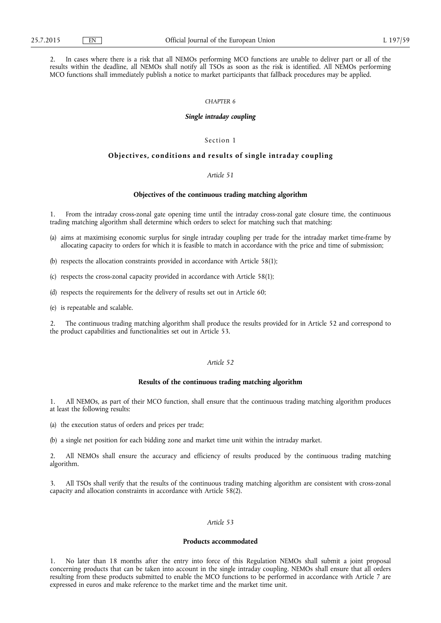2. In cases where there is a risk that all NEMOs performing MCO functions are unable to deliver part or all of the results within the deadline, all NEMOs shall notify all TSOs as soon as the risk is identified. All NEMOs performing MCO functions shall immediately publish a notice to market participants that fallback procedures may be applied.

#### *CHAPTER 6*

#### *Single intraday coupling*

## Section 1

## **Objectives, conditions and results of single intraday coupling**

# *Article 51*

#### **Objectives of the continuous trading matching algorithm**

1. From the intraday cross-zonal gate opening time until the intraday cross-zonal gate closure time, the continuous trading matching algorithm shall determine which orders to select for matching such that matching:

(a) aims at maximising economic surplus for single intraday coupling per trade for the intraday market time-frame by allocating capacity to orders for which it is feasible to match in accordance with the price and time of submission;

(b) respects the allocation constraints provided in accordance with Article 58(1);

(c) respects the cross-zonal capacity provided in accordance with Article 58(1);

(d) respects the requirements for the delivery of results set out in Article 60;

(e) is repeatable and scalable.

2. The continuous trading matching algorithm shall produce the results provided for in Article 52 and correspond to the product capabilities and functionalities set out in Article 53.

## *Article 52*

#### **Results of the continuous trading matching algorithm**

1. All NEMOs, as part of their MCO function, shall ensure that the continuous trading matching algorithm produces at least the following results:

(a) the execution status of orders and prices per trade;

(b) a single net position for each bidding zone and market time unit within the intraday market.

2. All NEMOs shall ensure the accuracy and efficiency of results produced by the continuous trading matching algorithm.

3. All TSOs shall verify that the results of the continuous trading matching algorithm are consistent with cross-zonal capacity and allocation constraints in accordance with Article 58(2).

# *Article 53*

#### **Products accommodated**

1. No later than 18 months after the entry into force of this Regulation NEMOs shall submit a joint proposal concerning products that can be taken into account in the single intraday coupling. NEMOs shall ensure that all orders resulting from these products submitted to enable the MCO functions to be performed in accordance with Article 7 are expressed in euros and make reference to the market time and the market time unit.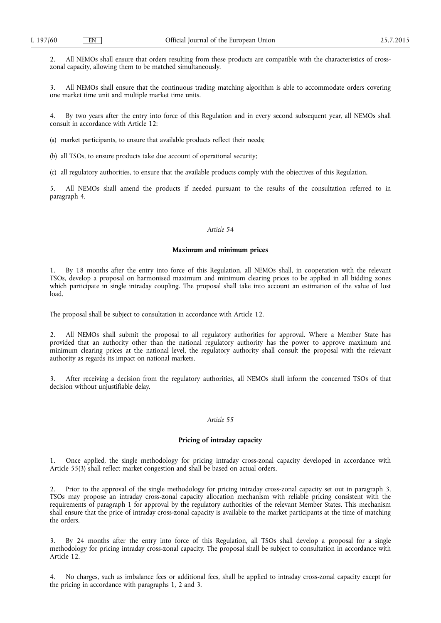2. All NEMOs shall ensure that orders resulting from these products are compatible with the characteristics of crosszonal capacity, allowing them to be matched simultaneously.

3. All NEMOs shall ensure that the continuous trading matching algorithm is able to accommodate orders covering one market time unit and multiple market time units.

4. By two years after the entry into force of this Regulation and in every second subsequent year, all NEMOs shall consult in accordance with Article 12:

(a) market participants, to ensure that available products reflect their needs;

(b) all TSOs, to ensure products take due account of operational security;

(c) all regulatory authorities, to ensure that the available products comply with the objectives of this Regulation.

All NEMOs shall amend the products if needed pursuant to the results of the consultation referred to in paragraph 4.

## *Article 54*

#### **Maximum and minimum prices**

1. By 18 months after the entry into force of this Regulation, all NEMOs shall, in cooperation with the relevant TSOs, develop a proposal on harmonised maximum and minimum clearing prices to be applied in all bidding zones which participate in single intraday coupling. The proposal shall take into account an estimation of the value of lost load.

The proposal shall be subject to consultation in accordance with Article 12.

All NEMOs shall submit the proposal to all regulatory authorities for approval. Where a Member State has provided that an authority other than the national regulatory authority has the power to approve maximum and minimum clearing prices at the national level, the regulatory authority shall consult the proposal with the relevant authority as regards its impact on national markets.

3. After receiving a decision from the regulatory authorities, all NEMOs shall inform the concerned TSOs of that decision without unjustifiable delay.

## *Article 55*

# **Pricing of intraday capacity**

1. Once applied, the single methodology for pricing intraday cross-zonal capacity developed in accordance with Article 55(3) shall reflect market congestion and shall be based on actual orders.

Prior to the approval of the single methodology for pricing intraday cross-zonal capacity set out in paragraph 3, TSOs may propose an intraday cross-zonal capacity allocation mechanism with reliable pricing consistent with the requirements of paragraph 1 for approval by the regulatory authorities of the relevant Member States. This mechanism shall ensure that the price of intraday cross-zonal capacity is available to the market participants at the time of matching the orders.

3. By 24 months after the entry into force of this Regulation, all TSOs shall develop a proposal for a single methodology for pricing intraday cross-zonal capacity. The proposal shall be subject to consultation in accordance with Article 12.

4. No charges, such as imbalance fees or additional fees, shall be applied to intraday cross-zonal capacity except for the pricing in accordance with paragraphs 1, 2 and 3.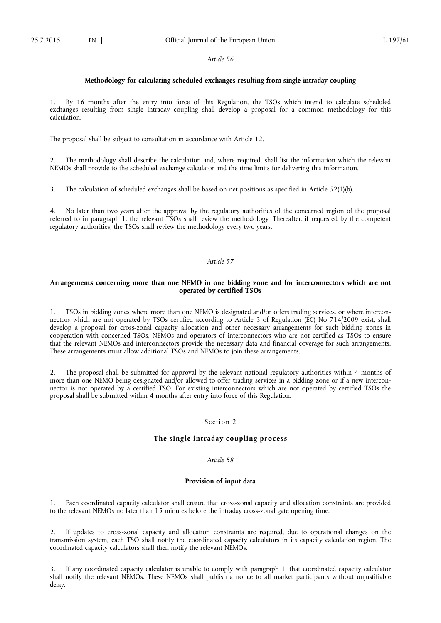## **Methodology for calculating scheduled exchanges resulting from single intraday coupling**

1. By 16 months after the entry into force of this Regulation, the TSOs which intend to calculate scheduled exchanges resulting from single intraday coupling shall develop a proposal for a common methodology for this calculation.

The proposal shall be subject to consultation in accordance with Article 12.

2. The methodology shall describe the calculation and, where required, shall list the information which the relevant NEMOs shall provide to the scheduled exchange calculator and the time limits for delivering this information.

3. The calculation of scheduled exchanges shall be based on net positions as specified in Article 52(1)(b).

4. No later than two years after the approval by the regulatory authorities of the concerned region of the proposal referred to in paragraph 1, the relevant TSOs shall review the methodology. Thereafter, if requested by the competent regulatory authorities, the TSOs shall review the methodology every two years.

# *Article 57*

## **Arrangements concerning more than one NEMO in one bidding zone and for interconnectors which are not operated by certified TSOs**

1. TSOs in bidding zones where more than one NEMO is designated and/or offers trading services, or where interconnectors which are not operated by TSOs certified according to Article 3 of Regulation (EC) No 714/2009 exist, shall develop a proposal for cross-zonal capacity allocation and other necessary arrangements for such bidding zones in cooperation with concerned TSOs, NEMOs and operators of interconnectors who are not certified as TSOs to ensure that the relevant NEMOs and interconnectors provide the necessary data and financial coverage for such arrangements. These arrangements must allow additional TSOs and NEMOs to join these arrangements.

2. The proposal shall be submitted for approval by the relevant national regulatory authorities within 4 months of more than one NEMO being designated and/or allowed to offer trading services in a bidding zone or if a new interconnector is not operated by a certified TSO. For existing interconnectors which are not operated by certified TSOs the proposal shall be submitted within 4 months after entry into force of this Regulation.

## Section 2

## **The single intraday coupling process**

## *Article 58*

#### **Provision of input data**

1. Each coordinated capacity calculator shall ensure that cross-zonal capacity and allocation constraints are provided to the relevant NEMOs no later than 15 minutes before the intraday cross-zonal gate opening time.

2. If updates to cross-zonal capacity and allocation constraints are required, due to operational changes on the transmission system, each TSO shall notify the coordinated capacity calculators in its capacity calculation region. The coordinated capacity calculators shall then notify the relevant NEMOs.

3. If any coordinated capacity calculator is unable to comply with paragraph 1, that coordinated capacity calculator shall notify the relevant NEMOs. These NEMOs shall publish a notice to all market participants without unjustifiable delay.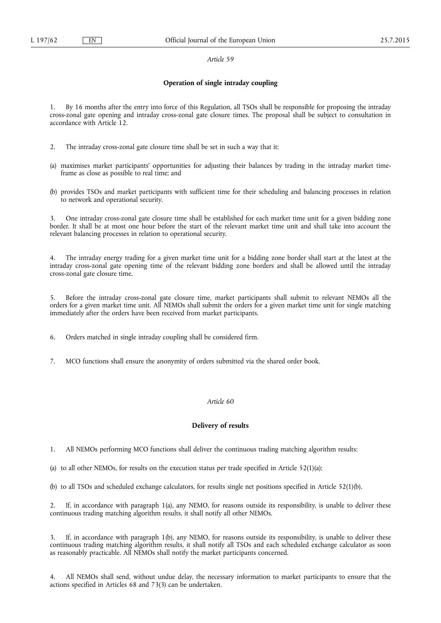## **Operation of single intraday coupling**

1. By 16 months after the entry into force of this Regulation, all TSOs shall be responsible for proposing the intraday cross-zonal gate opening and intraday cross-zonal gate closure times. The proposal shall be subject to consultation in accordance with Article 12.

- 2. The intraday cross-zonal gate closure time shall be set in such a way that it:
- (a) maximises market participants' opportunities for adjusting their balances by trading in the intraday market timeframe as close as possible to real time; and
- (b) provides TSOs and market participants with sufficient time for their scheduling and balancing processes in relation to network and operational security.

3. One intraday cross-zonal gate closure time shall be established for each market time unit for a given bidding zone border. It shall be at most one hour before the start of the relevant market time unit and shall take into account the relevant balancing processes in relation to operational security.

4. The intraday energy trading for a given market time unit for a bidding zone border shall start at the latest at the intraday cross-zonal gate opening time of the relevant bidding zone borders and shall be allowed until the intraday cross-zonal gate closure time.

5. Before the intraday cross-zonal gate closure time, market participants shall submit to relevant NEMOs all the orders for a given market time unit. All NEMOs shall submit the orders for a given market time unit for single matching immediately after the orders have been received from market participants.

- 6. Orders matched in single intraday coupling shall be considered firm.
- 7. MCO functions shall ensure the anonymity of orders submitted via the shared order book.

# *Article 60*

## **Delivery of results**

1. All NEMOs performing MCO functions shall deliver the continuous trading matching algorithm results:

- (a) to all other NEMOs, for results on the execution status per trade specified in Article 52(1)(a);
- (b) to all TSOs and scheduled exchange calculators, for results single net positions specified in Article 52(1)(b).

2. If, in accordance with paragraph 1(a), any NEMO, for reasons outside its responsibility, is unable to deliver these continuous trading matching algorithm results, it shall notify all other NEMOs.

3. If, in accordance with paragraph 1(b), any NEMO, for reasons outside its responsibility, is unable to deliver these continuous trading matching algorithm results, it shall notify all TSOs and each scheduled exchange calculator as soon as reasonably practicable. All NEMOs shall notify the market participants concerned.

All NEMOs shall send, without undue delay, the necessary information to market participants to ensure that the actions specified in Articles 68 and 73(3) can be undertaken.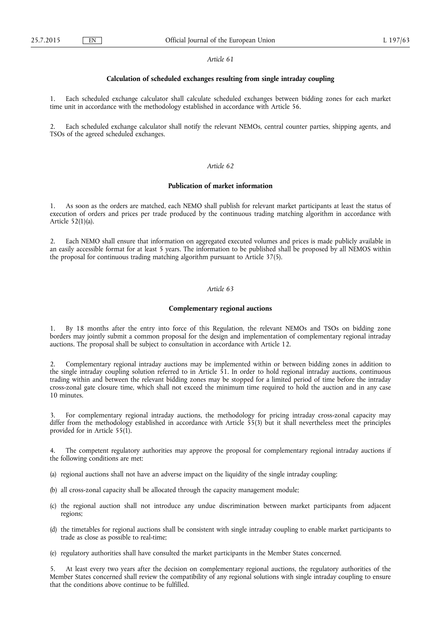## **Calculation of scheduled exchanges resulting from single intraday coupling**

1. Each scheduled exchange calculator shall calculate scheduled exchanges between bidding zones for each market time unit in accordance with the methodology established in accordance with Article 56.

2. Each scheduled exchange calculator shall notify the relevant NEMOs, central counter parties, shipping agents, and TSOs of the agreed scheduled exchanges.

# *Article 62*

## **Publication of market information**

1. As soon as the orders are matched, each NEMO shall publish for relevant market participants at least the status of execution of orders and prices per trade produced by the continuous trading matching algorithm in accordance with Article 52(1)(a).

2. Each NEMO shall ensure that information on aggregated executed volumes and prices is made publicly available in an easily accessible format for at least 5 years. The information to be published shall be proposed by all NEMOS within the proposal for continuous trading matching algorithm pursuant to Article 37(5).

# *Article 63*

#### **Complementary regional auctions**

1. By 18 months after the entry into force of this Regulation, the relevant NEMOs and TSOs on bidding zone borders may jointly submit a common proposal for the design and implementation of complementary regional intraday auctions. The proposal shall be subject to consultation in accordance with Article 12.

2. Complementary regional intraday auctions may be implemented within or between bidding zones in addition to the single intraday coupling solution referred to in Article  $\dot{5}1$ . In order to hold regional intraday auctions, continuous trading within and between the relevant bidding zones may be stopped for a limited period of time before the intraday cross-zonal gate closure time, which shall not exceed the minimum time required to hold the auction and in any case 10 minutes.

3. For complementary regional intraday auctions, the methodology for pricing intraday cross-zonal capacity may differ from the methodology established in accordance with Article 55(3) but it shall nevertheless meet the principles provided for in Article 55(1).

The competent regulatory authorities may approve the proposal for complementary regional intraday auctions if the following conditions are met:

- (a) regional auctions shall not have an adverse impact on the liquidity of the single intraday coupling;
- (b) all cross-zonal capacity shall be allocated through the capacity management module;
- (c) the regional auction shall not introduce any undue discrimination between market participants from adjacent regions;
- (d) the timetables for regional auctions shall be consistent with single intraday coupling to enable market participants to trade as close as possible to real-time;
- (e) regulatory authorities shall have consulted the market participants in the Member States concerned.

5. At least every two years after the decision on complementary regional auctions, the regulatory authorities of the Member States concerned shall review the compatibility of any regional solutions with single intraday coupling to ensure that the conditions above continue to be fulfilled.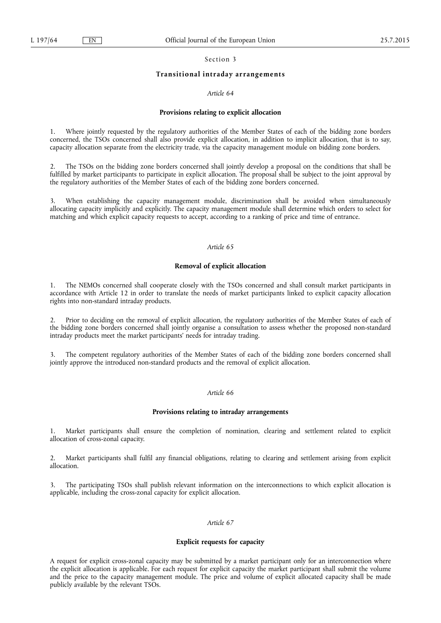Section 3

## **Transitional intraday a rrangements**

## *Article 64*

## **Provisions relating to explicit allocation**

1. Where jointly requested by the regulatory authorities of the Member States of each of the bidding zone borders concerned, the TSOs concerned shall also provide explicit allocation, in addition to implicit allocation, that is to say, capacity allocation separate from the electricity trade, via the capacity management module on bidding zone borders.

2. The TSOs on the bidding zone borders concerned shall jointly develop a proposal on the conditions that shall be fulfilled by market participants to participate in explicit allocation. The proposal shall be subject to the joint approval by the regulatory authorities of the Member States of each of the bidding zone borders concerned.

When establishing the capacity management module, discrimination shall be avoided when simultaneously allocating capacity implicitly and explicitly. The capacity management module shall determine which orders to select for matching and which explicit capacity requests to accept, according to a ranking of price and time of entrance.

# *Article 65*

## **Removal of explicit allocation**

1. The NEMOs concerned shall cooperate closely with the TSOs concerned and shall consult market participants in accordance with Article 12 in order to translate the needs of market participants linked to explicit capacity allocation rights into non-standard intraday products.

2. Prior to deciding on the removal of explicit allocation, the regulatory authorities of the Member States of each of the bidding zone borders concerned shall jointly organise a consultation to assess whether the proposed non-standard intraday products meet the market participants' needs for intraday trading.

The competent regulatory authorities of the Member States of each of the bidding zone borders concerned shall jointly approve the introduced non-standard products and the removal of explicit allocation.

# *Article 66*

#### **Provisions relating to intraday arrangements**

1. Market participants shall ensure the completion of nomination, clearing and settlement related to explicit allocation of cross-zonal capacity.

2. Market participants shall fulfil any financial obligations, relating to clearing and settlement arising from explicit allocation.

3. The participating TSOs shall publish relevant information on the interconnections to which explicit allocation is applicable, including the cross-zonal capacity for explicit allocation.

## *Article 67*

## **Explicit requests for capacity**

A request for explicit cross-zonal capacity may be submitted by a market participant only for an interconnection where the explicit allocation is applicable. For each request for explicit capacity the market participant shall submit the volume and the price to the capacity management module. The price and volume of explicit allocated capacity shall be made publicly available by the relevant TSOs.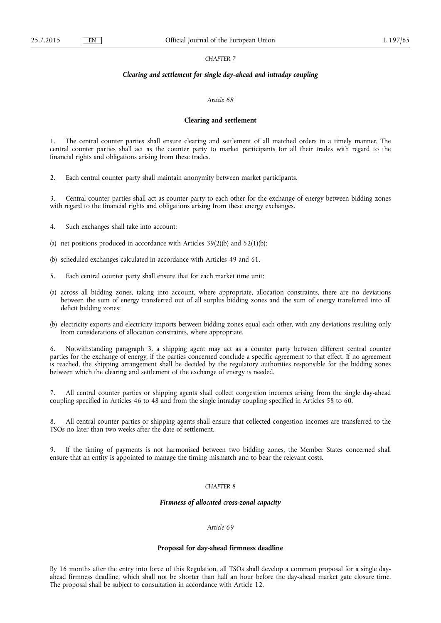*CHAPTER 7* 

## *Clearing and settlement for single day-ahead and intraday coupling*

## *Article 68*

#### **Clearing and settlement**

1. The central counter parties shall ensure clearing and settlement of all matched orders in a timely manner. The central counter parties shall act as the counter party to market participants for all their trades with regard to the financial rights and obligations arising from these trades.

2. Each central counter party shall maintain anonymity between market participants.

3. Central counter parties shall act as counter party to each other for the exchange of energy between bidding zones with regard to the financial rights and obligations arising from these energy exchanges.

4. Such exchanges shall take into account:

- (a) net positions produced in accordance with Articles  $39(2)(b)$  and  $52(1)(b)$ ;
- (b) scheduled exchanges calculated in accordance with Articles 49 and 61.
- 5. Each central counter party shall ensure that for each market time unit:
- (a) across all bidding zones, taking into account, where appropriate, allocation constraints, there are no deviations between the sum of energy transferred out of all surplus bidding zones and the sum of energy transferred into all deficit bidding zones;
- (b) electricity exports and electricity imports between bidding zones equal each other, with any deviations resulting only from considerations of allocation constraints, where appropriate.

6. Notwithstanding paragraph 3, a shipping agent may act as a counter party between different central counter parties for the exchange of energy, if the parties concerned conclude a specific agreement to that effect. If no agreement is reached, the shipping arrangement shall be decided by the regulatory authorities responsible for the bidding zones between which the clearing and settlement of the exchange of energy is needed.

7. All central counter parties or shipping agents shall collect congestion incomes arising from the single day-ahead coupling specified in Articles 46 to 48 and from the single intraday coupling specified in Articles 58 to 60.

8. All central counter parties or shipping agents shall ensure that collected congestion incomes are transferred to the TSOs no later than two weeks after the date of settlement.

9. If the timing of payments is not harmonised between two bidding zones, the Member States concerned shall ensure that an entity is appointed to manage the timing mismatch and to bear the relevant costs.

## *CHAPTER 8*

## *Firmness of allocated cross-zonal capacity*

## *Article 69*

# **Proposal for day-ahead firmness deadline**

By 16 months after the entry into force of this Regulation, all TSOs shall develop a common proposal for a single dayahead firmness deadline, which shall not be shorter than half an hour before the day-ahead market gate closure time. The proposal shall be subject to consultation in accordance with Article 12.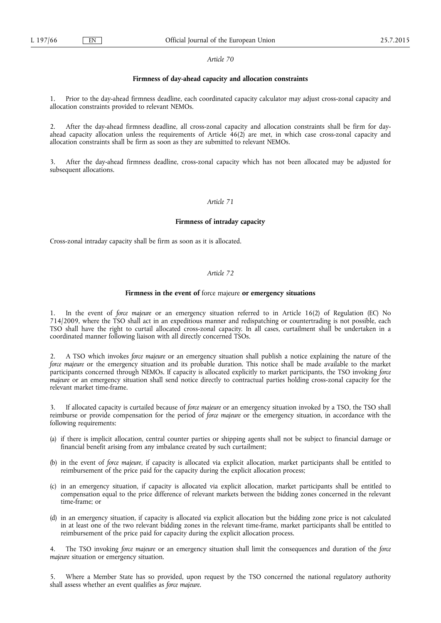## **Firmness of day-ahead capacity and allocation constraints**

Prior to the day-ahead firmness deadline, each coordinated capacity calculator may adjust cross-zonal capacity and allocation constraints provided to relevant NEMOs.

2. After the day-ahead firmness deadline, all cross-zonal capacity and allocation constraints shall be firm for dayahead capacity allocation unless the requirements of Article  $46(2)$  are met, in which case cross-zonal capacity and allocation constraints shall be firm as soon as they are submitted to relevant NEMOs.

3. After the day-ahead firmness deadline, cross-zonal capacity which has not been allocated may be adjusted for subsequent allocations.

## *Article 71*

## **Firmness of intraday capacity**

Cross-zonal intraday capacity shall be firm as soon as it is allocated.

# *Article 72*

## **Firmness in the event of** force majeure **or emergency situations**

1. In the event of *force majeure* or an emergency situation referred to in Article 16(2) of Regulation (EC) No 714/2009, where the TSO shall act in an expeditious manner and redispatching or countertrading is not possible, each TSO shall have the right to curtail allocated cross-zonal capacity. In all cases, curtailment shall be undertaken in a coordinated manner following liaison with all directly concerned TSOs.

2. A TSO which invokes *force majeure* or an emergency situation shall publish a notice explaining the nature of the *force majeure* or the emergency situation and its probable duration. This notice shall be made available to the market participants concerned through NEMOs. If capacity is allocated explicitly to market participants, the TSO invoking *force majeure* or an emergency situation shall send notice directly to contractual parties holding cross-zonal capacity for the relevant market time-frame.

3. If allocated capacity is curtailed because of *force majeure* or an emergency situation invoked by a TSO, the TSO shall reimburse or provide compensation for the period of *force majeure* or the emergency situation, in accordance with the following requirements:

- (a) if there is implicit allocation, central counter parties or shipping agents shall not be subject to financial damage or financial benefit arising from any imbalance created by such curtailment;
- (b) in the event of *force majeure*, if capacity is allocated via explicit allocation, market participants shall be entitled to reimbursement of the price paid for the capacity during the explicit allocation process;
- (c) in an emergency situation, if capacity is allocated via explicit allocation, market participants shall be entitled to compensation equal to the price difference of relevant markets between the bidding zones concerned in the relevant time-frame; or
- (d) in an emergency situation, if capacity is allocated via explicit allocation but the bidding zone price is not calculated in at least one of the two relevant bidding zones in the relevant time-frame, market participants shall be entitled to reimbursement of the price paid for capacity during the explicit allocation process.

4. The TSO invoking *force majeure* or an emergency situation shall limit the consequences and duration of the *force majeure* situation or emergency situation.

5. Where a Member State has so provided, upon request by the TSO concerned the national regulatory authority shall assess whether an event qualifies as *force majeure*.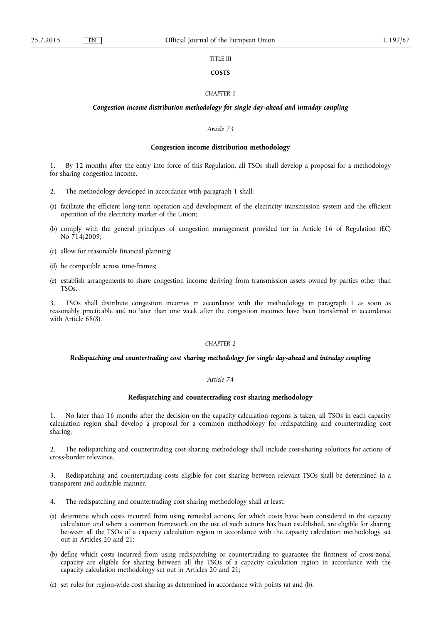## TITLE III

# **COSTS**

## *CHAPTER 1*

#### *Congestion income distribution methodology for single day-ahead and intraday coupling*

#### *Article 73*

## **Congestion income distribution methodology**

1. By 12 months after the entry into force of this Regulation, all TSOs shall develop a proposal for a methodology for sharing congestion income.

- 2. The methodology developed in accordance with paragraph 1 shall:
- (a) facilitate the efficient long-term operation and development of the electricity transmission system and the efficient operation of the electricity market of the Union;
- (b) comply with the general principles of congestion management provided for in Article 16 of Regulation (EC) No 714/2009;
- (c) allow for reasonable financial planning;
- (d) be compatible across time-frames;
- (e) establish arrangements to share congestion income deriving from transmission assets owned by parties other than TSOs.

3. TSOs shall distribute congestion incomes in accordance with the methodology in paragraph 1 as soon as reasonably practicable and no later than one week after the congestion incomes have been transferred in accordance with Article 68(8).

# *CHAPTER 2*

#### *Redispatching and countertrading cost sharing methodology for single day-ahead and intraday coupling*

## *Article 74*

#### **Redispatching and countertrading cost sharing methodology**

1. No later than 16 months after the decision on the capacity calculation regions is taken, all TSOs in each capacity calculation region shall develop a proposal for a common methodology for redispatching and countertrading cost sharing.

2. The redispatching and countertrading cost sharing methodology shall include cost-sharing solutions for actions of cross-border relevance.

Redispatching and countertrading costs eligible for cost sharing between relevant TSOs shall be determined in a transparent and auditable manner.

- 4. The redispatching and countertrading cost sharing methodology shall at least:
- (a) determine which costs incurred from using remedial actions, for which costs have been considered in the capacity calculation and where a common framework on the use of such actions has been established, are eligible for sharing between all the TSOs of a capacity calculation region in accordance with the capacity calculation methodology set out in Articles 20 and 21;
- (b) define which costs incurred from using redispatching or countertrading to guarantee the firmness of cross-zonal capacity are eligible for sharing between all the TSOs of a capacity calculation region in accordance with the capacity calculation methodology set out in Articles 20 and 21;
- (c) set rules for region-wide cost sharing as determined in accordance with points (a) and (b).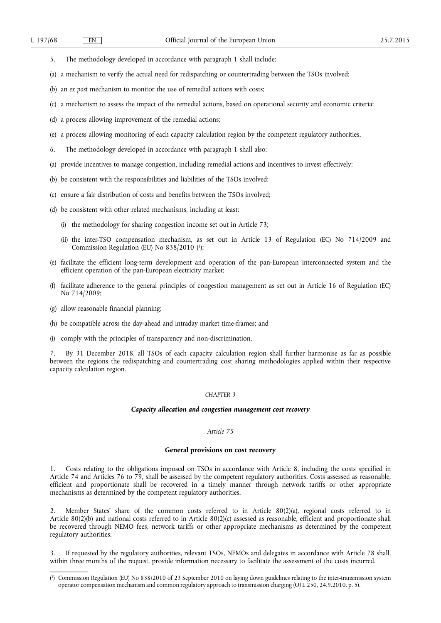- 5. The methodology developed in accordance with paragraph 1 shall include:
- (a) a mechanism to verify the actual need for redispatching or countertrading between the TSOs involved;
- (b) an *ex post* mechanism to monitor the use of remedial actions with costs;
- (c) a mechanism to assess the impact of the remedial actions, based on operational security and economic criteria;
- (d) a process allowing improvement of the remedial actions;
- (e) a process allowing monitoring of each capacity calculation region by the competent regulatory authorities.
- 6. The methodology developed in accordance with paragraph 1 shall also:
- (a) provide incentives to manage congestion, including remedial actions and incentives to invest effectively;
- (b) be consistent with the responsibilities and liabilities of the TSOs involved;
- (c) ensure a fair distribution of costs and benefits between the TSOs involved;
- (d) be consistent with other related mechanisms, including at least:
	- (i) the methodology for sharing congestion income set out in Article 73;
	- (ii) the inter-TSO compensation mechanism, as set out in Article 13 of Regulation (EC) No 714/2009 and Commission Regulation (EU) No 838/2010 ( 1 );
- (e) facilitate the efficient long-term development and operation of the pan-European interconnected system and the efficient operation of the pan-European electricity market;
- (f) facilitate adherence to the general principles of congestion management as set out in Article 16 of Regulation (EC) No 714/2009;
- (g) allow reasonable financial planning;
- (h) be compatible across the day-ahead and intraday market time-frames; and
- (i) comply with the principles of transparency and non-discrimination.

7. By 31 December 2018, all TSOs of each capacity calculation region shall further harmonise as far as possible between the regions the redispatching and countertrading cost sharing methodologies applied within their respective capacity calculation region.

## *CHAPTER 3*

#### *Capacity allocation and congestion management cost recovery*

## *Article 75*

## **General provisions on cost recovery**

1. Costs relating to the obligations imposed on TSOs in accordance with Article 8, including the costs specified in Article 74 and Articles 76 to 79, shall be assessed by the competent regulatory authorities. Costs assessed as reasonable, efficient and proportionate shall be recovered in a timely manner through network tariffs or other appropriate mechanisms as determined by the competent regulatory authorities.

2. Member States' share of the common costs referred to in Article 80(2)(a), regional costs referred to in Article 80(2)(b) and national costs referred to in Article 80(2)(c) assessed as reasonable, efficient and proportionate shall be recovered through NEMO fees, network tariffs or other appropriate mechanisms as determined by the competent regulatory authorities.

3. If requested by the regulatory authorities, relevant TSOs, NEMOs and delegates in accordance with Article 78 shall, within three months of the request, provide information necessary to facilitate the assessment of the costs incurred.

<sup>(</sup> 1 ) Commission Regulation (EU) No 838/2010 of 23 September 2010 on laying down guidelines relating to the inter-transmission system operator compensation mechanism and common regulatory approach to transmission charging (OJ L 250, 24.9.2010, p. 5).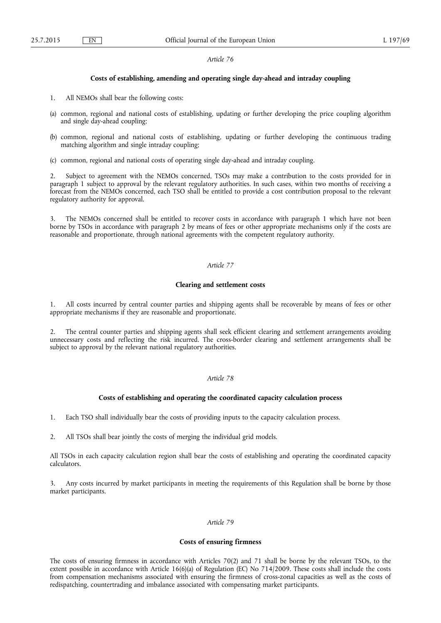## **Costs of establishing, amending and operating single day-ahead and intraday coupling**

- 1. All NEMOs shall bear the following costs:
- (a) common, regional and national costs of establishing, updating or further developing the price coupling algorithm and single day-ahead coupling;
- (b) common, regional and national costs of establishing, updating or further developing the continuous trading matching algorithm and single intraday coupling;
- (c) common, regional and national costs of operating single day-ahead and intraday coupling.

2. Subject to agreement with the NEMOs concerned, TSOs may make a contribution to the costs provided for in paragraph 1 subject to approval by the relevant regulatory authorities. In such cases, within two months of receiving a forecast from the NEMOs concerned, each TSO shall be entitled to provide a cost contribution proposal to the relevant regulatory authority for approval.

The NEMOs concerned shall be entitled to recover costs in accordance with paragraph 1 which have not been borne by TSOs in accordance with paragraph 2 by means of fees or other appropriate mechanisms only if the costs are reasonable and proportionate, through national agreements with the competent regulatory authority.

#### *Article 77*

## **Clearing and settlement costs**

1. All costs incurred by central counter parties and shipping agents shall be recoverable by means of fees or other appropriate mechanisms if they are reasonable and proportionate.

2. The central counter parties and shipping agents shall seek efficient clearing and settlement arrangements avoiding unnecessary costs and reflecting the risk incurred. The cross-border clearing and settlement arrangements shall be subject to approval by the relevant national regulatory authorities.

## *Article 78*

#### **Costs of establishing and operating the coordinated capacity calculation process**

1. Each TSO shall individually bear the costs of providing inputs to the capacity calculation process.

2. All TSOs shall bear jointly the costs of merging the individual grid models.

All TSOs in each capacity calculation region shall bear the costs of establishing and operating the coordinated capacity calculators.

Any costs incurred by market participants in meeting the requirements of this Regulation shall be borne by those market participants.

# *Article 79*

#### **Costs of ensuring firmness**

The costs of ensuring firmness in accordance with Articles 70(2) and 71 shall be borne by the relevant TSOs, to the extent possible in accordance with Article 16(6)(a) of Regulation (EC) No 714/2009. These costs shall include the costs from compensation mechanisms associated with ensuring the firmness of cross-zonal capacities as well as the costs of redispatching, countertrading and imbalance associated with compensating market participants.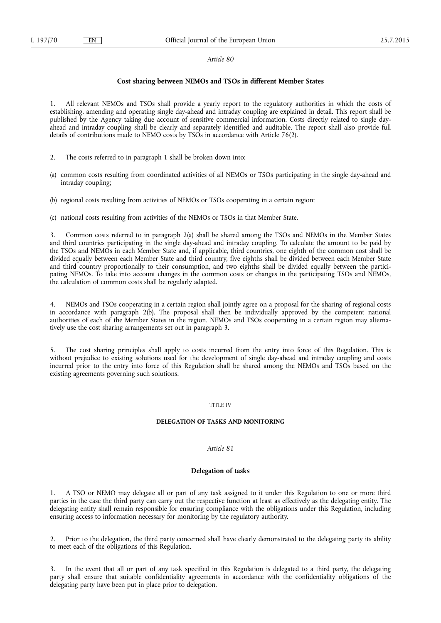#### **Cost sharing between NEMOs and TSOs in different Member States**

1. All relevant NEMOs and TSOs shall provide a yearly report to the regulatory authorities in which the costs of establishing, amending and operating single day-ahead and intraday coupling are explained in detail. This report shall be published by the Agency taking due account of sensitive commercial information. Costs directly related to single dayahead and intraday coupling shall be clearly and separately identified and auditable. The report shall also provide full details of contributions made to NEMO costs by TSOs in accordance with Article 76(2).

- 2. The costs referred to in paragraph 1 shall be broken down into:
- (a) common costs resulting from coordinated activities of all NEMOs or TSOs participating in the single day-ahead and intraday coupling;
- (b) regional costs resulting from activities of NEMOs or TSOs cooperating in a certain region;
- (c) national costs resulting from activities of the NEMOs or TSOs in that Member State.

3. Common costs referred to in paragraph 2(a) shall be shared among the TSOs and NEMOs in the Member States and third countries participating in the single day-ahead and intraday coupling. To calculate the amount to be paid by the TSOs and NEMOs in each Member State and, if applicable, third countries, one eighth of the common cost shall be divided equally between each Member State and third country, five eighths shall be divided between each Member State and third country proportionally to their consumption, and two eighths shall be divided equally between the participating NEMOs. To take into account changes in the common costs or changes in the participating TSOs and NEMOs, the calculation of common costs shall be regularly adapted.

4. NEMOs and TSOs cooperating in a certain region shall jointly agree on a proposal for the sharing of regional costs in accordance with paragraph 2(b). The proposal shall then be individually approved by the competent national authorities of each of the Member States in the region. NEMOs and TSOs cooperating in a certain region may alternatively use the cost sharing arrangements set out in paragraph 3.

5. The cost sharing principles shall apply to costs incurred from the entry into force of this Regulation. This is without prejudice to existing solutions used for the development of single day-ahead and intraday coupling and costs incurred prior to the entry into force of this Regulation shall be shared among the NEMOs and TSOs based on the existing agreements governing such solutions.

## TITLE IV

#### **DELEGATION OF TASKS AND MONITORING**

# *Article 81*

#### **Delegation of tasks**

1. A TSO or NEMO may delegate all or part of any task assigned to it under this Regulation to one or more third parties in the case the third party can carry out the respective function at least as effectively as the delegating entity. The delegating entity shall remain responsible for ensuring compliance with the obligations under this Regulation, including ensuring access to information necessary for monitoring by the regulatory authority.

2. Prior to the delegation, the third party concerned shall have clearly demonstrated to the delegating party its ability to meet each of the obligations of this Regulation.

3. In the event that all or part of any task specified in this Regulation is delegated to a third party, the delegating party shall ensure that suitable confidentiality agreements in accordance with the confidentiality obligations of the delegating party have been put in place prior to delegation.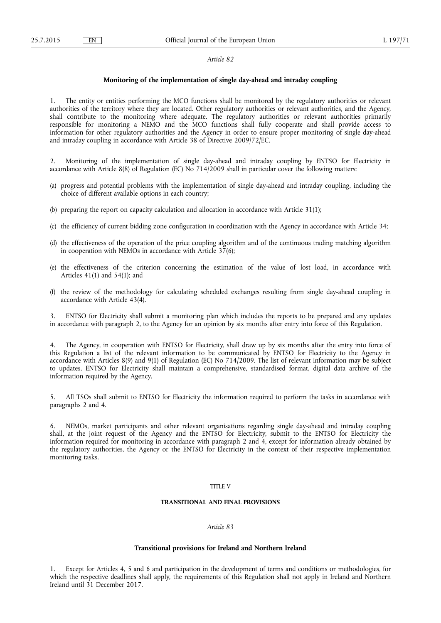## **Monitoring of the implementation of single day-ahead and intraday coupling**

1. The entity or entities performing the MCO functions shall be monitored by the regulatory authorities or relevant authorities of the territory where they are located. Other regulatory authorities or relevant authorities, and the Agency, shall contribute to the monitoring where adequate. The regulatory authorities or relevant authorities primarily responsible for monitoring a NEMO and the MCO functions shall fully cooperate and shall provide access to information for other regulatory authorities and the Agency in order to ensure proper monitoring of single day-ahead and intraday coupling in accordance with Article 38 of Directive 2009/72/EC.

2. Monitoring of the implementation of single day-ahead and intraday coupling by ENTSO for Electricity in accordance with Article 8(8) of Regulation (EC) No 714/2009 shall in particular cover the following matters:

- (a) progress and potential problems with the implementation of single day-ahead and intraday coupling, including the choice of different available options in each country;
- (b) preparing the report on capacity calculation and allocation in accordance with Article 31(1);
- (c) the efficiency of current bidding zone configuration in coordination with the Agency in accordance with Article 34;
- (d) the effectiveness of the operation of the price coupling algorithm and of the continuous trading matching algorithm in cooperation with NEMOs in accordance with Article 37(6);
- (e) the effectiveness of the criterion concerning the estimation of the value of lost load, in accordance with Articles 41(1) and 54(1); and
- (f) the review of the methodology for calculating scheduled exchanges resulting from single day-ahead coupling in accordance with Article 43(4).

3. ENTSO for Electricity shall submit a monitoring plan which includes the reports to be prepared and any updates in accordance with paragraph 2, to the Agency for an opinion by six months after entry into force of this Regulation.

4. The Agency, in cooperation with ENTSO for Electricity, shall draw up by six months after the entry into force of this Regulation a list of the relevant information to be communicated by ENTSO for Electricity to the Agency in accordance with Articles 8(9) and 9(1) of Regulation (EC) No 714/2009. The list of relevant information may be subject to updates. ENTSO for Electricity shall maintain a comprehensive, standardised format, digital data archive of the information required by the Agency.

5. All TSOs shall submit to ENTSO for Electricity the information required to perform the tasks in accordance with paragraphs 2 and 4.

NEMOs, market participants and other relevant organisations regarding single day-ahead and intraday coupling shall, at the joint request of the Agency and the ENTSO for Electricity, submit to the ENTSO for Electricity the information required for monitoring in accordance with paragraph 2 and 4, except for information already obtained by the regulatory authorities, the Agency or the ENTSO for Electricity in the context of their respective implementation monitoring tasks.

## TITLE V

#### **TRANSITIONAL AND FINAL PROVISIONS**

## *Article 83*

#### **Transitional provisions for Ireland and Northern Ireland**

1. Except for Articles 4, 5 and 6 and participation in the development of terms and conditions or methodologies, for which the respective deadlines shall apply, the requirements of this Regulation shall not apply in Ireland and Northern Ireland until 31 December 2017.